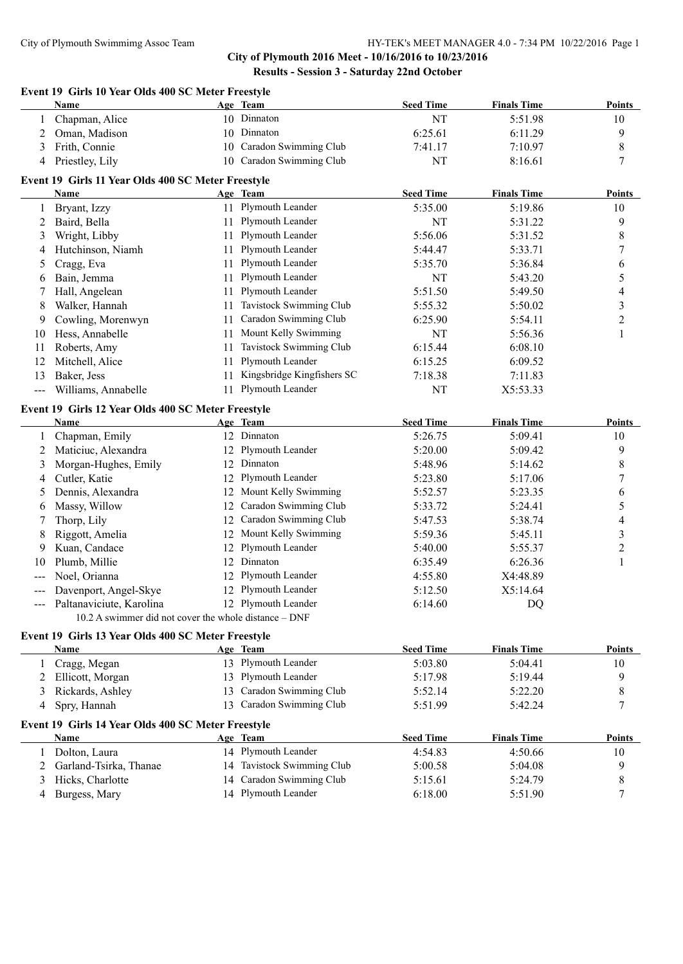## **City of Plymouth 2016 Meet - 10/16/2016 to 10/23/2016 Results - Session 3 - Saturday 22nd October**

### **Event 19 Girls 10 Year Olds 400 SC Meter Freestyle**

| Name              | Age Team                 | <b>Seed Time</b> | <b>Finals Time</b> | <b>Points</b> |
|-------------------|--------------------------|------------------|--------------------|---------------|
| Chapman, Alice    | 10 Dinnaton              | NT               | 5:51.98            | 10            |
| Oman, Madison     | 10 Dinnaton              | 6:25.61          | 6:11.29            |               |
| Frith, Connie     | 10 Caradon Swimming Club | 7:41.17          | 7:10.97            |               |
| 4 Priestley, Lily | 10 Caradon Swimming Club | NT               | 8:16.61            |               |

# **Event 19 Girls 11 Year Olds 400 SC Meter Freestyle**

|                   | Name                                               |    | Age Team                   | <b>Seed Time</b> | <b>Finals Time</b> | <b>Points</b>  |
|-------------------|----------------------------------------------------|----|----------------------------|------------------|--------------------|----------------|
|                   | Bryant, Izzy                                       | 11 | Plymouth Leander           | 5:35.00          | 5:19.86            | 10             |
| 2                 | Baird, Bella                                       | 11 | Plymouth Leander           | NT               | 5:31.22            | 9              |
| 3                 | Wright, Libby                                      | 11 | Plymouth Leander           | 5:56.06          | 5:31.52            | 8              |
| 4                 | Hutchinson, Niamh                                  | 11 | Plymouth Leander           | 5:44.47          | 5:33.71            | 7              |
| 5                 | Cragg, Eva                                         | 11 | Plymouth Leander           | 5:35.70          | 5:36.84            | 6              |
| 6                 | Bain, Jemma                                        | 11 | Plymouth Leander           | NT               | 5:43.20            | 5              |
|                   | Hall, Angelean                                     | 11 | Plymouth Leander           | 5:51.50          | 5:49.50            | 4              |
| 8                 | Walker, Hannah                                     | 11 | Tavistock Swimming Club    | 5:55.32          | 5:50.02            | 3              |
| 9                 | Cowling, Morenwyn                                  | 11 | Caradon Swimming Club      | 6:25.90          | 5:54.11            | $\overline{c}$ |
| 10                | Hess, Annabelle                                    | 11 | Mount Kelly Swimming       | NT               | 5:56.36            | 1              |
| 11                | Roberts, Amy                                       | 11 | Tavistock Swimming Club    | 6:15.44          | 6:08.10            |                |
| 12                | Mitchell, Alice                                    | 11 | Plymouth Leander           | 6:15.25          | 6:09.52            |                |
| 13                | Baker, Jess                                        | 11 | Kingsbridge Kingfishers SC | 7:18.38          | 7:11.83            |                |
| $\qquad \qquad -$ | Williams, Annabelle                                | 11 | Plymouth Leander           | NT               | X5:53.33           |                |
|                   | Event 19 Girls 12 Year Olds 400 SC Meter Freestyle |    |                            |                  |                    |                |
|                   | Name                                               |    | Age Team                   | <b>Seed Time</b> | <b>Finals Time</b> | <b>Points</b>  |
|                   | Chapman, Emily                                     | 12 | Dinnaton                   | 5:26.75          | 5:09.41            | 10             |
| 2                 | Maticiuc, Alexandra                                | 12 | Plymouth Leander           | 5:20.00          | 5:09.42            | 9              |
| 3                 | Morgan-Hughes, Emily                               | 12 | Dinnaton                   | 5:48.96          | 5:14.62            | 8              |
| 4                 | Cutler, Katie                                      | 12 | Plymouth Leander           | 5:23.80          | 5:17.06            |                |
| 5                 | Dennis, Alexandra                                  |    | Mount Kelly Swimming       | 5:52.57          | 5:23.35            | 6              |
| 6                 | Massy, Willow                                      | 12 | Caradon Swimming Club      | 5:33.72          | 5:24.41            | 5              |

| Thorp, Lily                  | 12 Caradon Swimming Club | 5:47.53 | 5:38.74  |  |
|------------------------------|--------------------------|---------|----------|--|
| 8 Riggott, Amelia            | 12 Mount Kelly Swimming  | 5:59.36 | 5:45.11  |  |
| 9 Kuan, Candace              | 12 Plymouth Leander      | 5:40.00 | 5:55.37  |  |
| 10 Plumb, Millie             | 12 Dinnaton              | 6:35.49 | 6:26.36  |  |
| --- Noel, Orianna            | 12 Plymouth Leander      | 4:55.80 | X4:48.89 |  |
| --- Davenport, Angel-Skye    | 12 Plymouth Leander      | 5:12.50 | X5:14.64 |  |
| --- Paltanaviciute, Karolina | 12 Plymouth Leander      | 6:14.60 | DQ       |  |
|                              |                          |         |          |  |

# 10.2 A swimmer did not cover the whole distance – DNF

# **Event 19 Girls 13 Year Olds 400 SC Meter Freestyle**

| <b>Name</b>      |                                                              | <b>Seed Time</b>                                                                                                                                                                                                                                                                         | <b>Finals Time</b> | <b>Points</b> |
|------------------|--------------------------------------------------------------|------------------------------------------------------------------------------------------------------------------------------------------------------------------------------------------------------------------------------------------------------------------------------------------|--------------------|---------------|
|                  |                                                              | 5:03.80                                                                                                                                                                                                                                                                                  | 5:04.41            | 10            |
|                  |                                                              | 5:17.98                                                                                                                                                                                                                                                                                  | 5:19.44            | 9             |
| Rickards, Ashley |                                                              | 5:52.14                                                                                                                                                                                                                                                                                  | 5:22.20            | 8             |
| Spry, Hannah     |                                                              | 5:51.99                                                                                                                                                                                                                                                                                  | 5:42.24            |               |
|                  |                                                              |                                                                                                                                                                                                                                                                                          |                    |               |
| <b>Name</b>      |                                                              | <b>Seed Time</b>                                                                                                                                                                                                                                                                         | <b>Finals Time</b> | <b>Points</b> |
| Dolton, Laura    |                                                              | 4:54.83                                                                                                                                                                                                                                                                                  | 4:50.66            | 10            |
|                  |                                                              | 5:00.58                                                                                                                                                                                                                                                                                  | 5:04.08            | 9             |
| Hicks, Charlotte |                                                              | 5:15.61                                                                                                                                                                                                                                                                                  | 5:24.79            | 8             |
| Burgess, Mary    |                                                              | 6:18.00                                                                                                                                                                                                                                                                                  | 5:51.90            |               |
|                  | Cragg, Megan<br>Ellicott, Morgan<br>2 Garland-Tsirka, Thanae | Age Team<br>13 Plymouth Leander<br>13 Plymouth Leander<br>13 Caradon Swimming Club<br>13 Caradon Swimming Club<br>Event 19 Girls 14 Year Olds 400 SC Meter Freestyle<br>Age Team<br>14 Plymouth Leander<br>14 Tavistock Swimming Club<br>14 Caradon Swimming Club<br>14 Plymouth Leander |                    |               |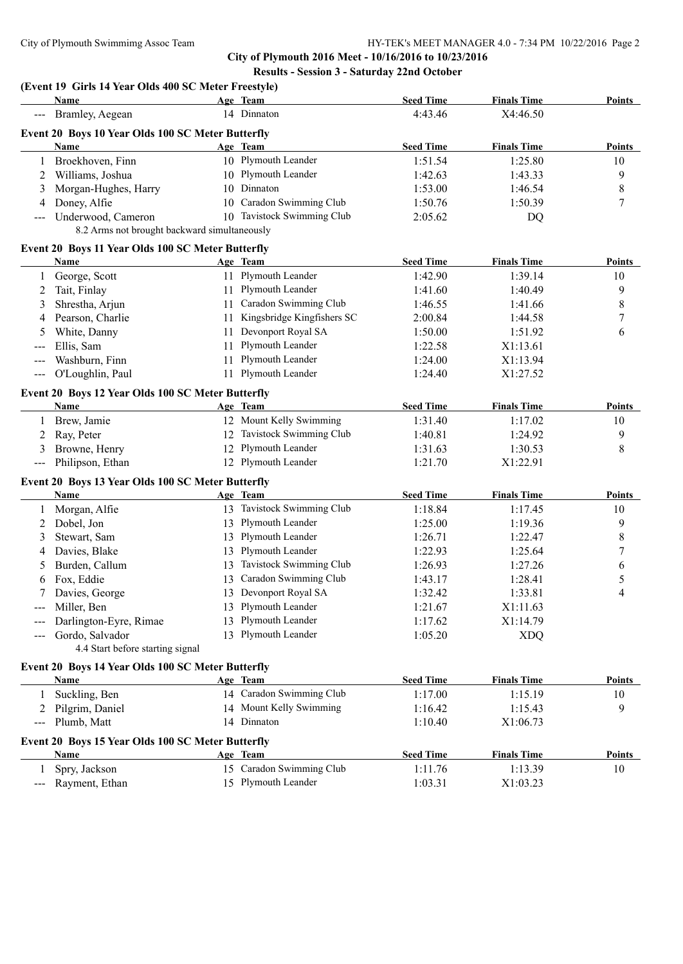**City of Plymouth 2016 Meet - 10/16/2016 to 10/23/2016 Results - Session 3 - Saturday 22nd October**

# **(Event 19 Girls 14 Year Olds 400 SC Meter Freestyle)**

|                                                                                                                                                                                                                                                                                                                                                                                              | Name                                              |    | Age Team                   | <b>Seed Time</b> | <b>Finals Time</b> | <b>Points</b> |
|----------------------------------------------------------------------------------------------------------------------------------------------------------------------------------------------------------------------------------------------------------------------------------------------------------------------------------------------------------------------------------------------|---------------------------------------------------|----|----------------------------|------------------|--------------------|---------------|
|                                                                                                                                                                                                                                                                                                                                                                                              | Bramley, Aegean                                   |    | 14 Dinnaton                | 4:43.46          | X4:46.50           |               |
|                                                                                                                                                                                                                                                                                                                                                                                              | Event 20 Boys 10 Year Olds 100 SC Meter Butterfly |    |                            |                  |                    |               |
|                                                                                                                                                                                                                                                                                                                                                                                              | Name                                              |    | Age Team                   | <b>Seed Time</b> | <b>Finals Time</b> | <b>Points</b> |
| 1                                                                                                                                                                                                                                                                                                                                                                                            | Broekhoven, Finn                                  |    | 10 Plymouth Leander        | 1:51.54          | 1:25.80            | 10            |
| 2                                                                                                                                                                                                                                                                                                                                                                                            | Williams, Joshua                                  |    | 10 Plymouth Leander        | 1:42.63          | 1:43.33            | 9             |
| 3                                                                                                                                                                                                                                                                                                                                                                                            | Morgan-Hughes, Harry                              |    | 10 Dinnaton                | 1:53.00          | 1:46.54            | 8             |
| 4                                                                                                                                                                                                                                                                                                                                                                                            | Doney, Alfie                                      |    | 10 Caradon Swimming Club   | 1:50.76          | 1:50.39            | 7             |
| $\frac{1}{2}$                                                                                                                                                                                                                                                                                                                                                                                | Underwood, Cameron                                |    | 10 Tavistock Swimming Club | 2:05.62          | DQ                 |               |
|                                                                                                                                                                                                                                                                                                                                                                                              | 8.2 Arms not brought backward simultaneously      |    |                            |                  |                    |               |
|                                                                                                                                                                                                                                                                                                                                                                                              | Event 20 Boys 11 Year Olds 100 SC Meter Butterfly |    |                            |                  |                    |               |
|                                                                                                                                                                                                                                                                                                                                                                                              | Name                                              |    | Age Team                   | <b>Seed Time</b> | <b>Finals Time</b> | <b>Points</b> |
| 1                                                                                                                                                                                                                                                                                                                                                                                            | George, Scott                                     |    | 11 Plymouth Leander        | 1:42.90          | 1:39.14            | 10            |
| 2                                                                                                                                                                                                                                                                                                                                                                                            | Tait, Finlay                                      | 11 | Plymouth Leander           | 1:41.60          | 1:40.49            | 9             |
| 3                                                                                                                                                                                                                                                                                                                                                                                            | Shrestha, Arjun                                   | 11 | Caradon Swimming Club      | 1:46.55          | 1:41.66            | 8             |
| 4                                                                                                                                                                                                                                                                                                                                                                                            | Pearson, Charlie                                  | 11 | Kingsbridge Kingfishers SC | 2:00.84          | 1:44.58            | 7             |
| 5                                                                                                                                                                                                                                                                                                                                                                                            | White, Danny                                      | 11 | Devonport Royal SA         | 1:50.00          | 1:51.92            | 6             |
| $\frac{1}{2} \frac{1}{2} \frac{1}{2} \frac{1}{2} \frac{1}{2} \frac{1}{2} \frac{1}{2} \frac{1}{2} \frac{1}{2} \frac{1}{2} \frac{1}{2} \frac{1}{2} \frac{1}{2} \frac{1}{2} \frac{1}{2} \frac{1}{2} \frac{1}{2} \frac{1}{2} \frac{1}{2} \frac{1}{2} \frac{1}{2} \frac{1}{2} \frac{1}{2} \frac{1}{2} \frac{1}{2} \frac{1}{2} \frac{1}{2} \frac{1}{2} \frac{1}{2} \frac{1}{2} \frac{1}{2} \frac{$ | Ellis, Sam                                        | 11 | Plymouth Leander           | 1:22.58          | X1:13.61           |               |
|                                                                                                                                                                                                                                                                                                                                                                                              | Washburn, Finn                                    | 11 | Plymouth Leander           | 1:24.00          | X1:13.94           |               |
| $\frac{1}{2}$                                                                                                                                                                                                                                                                                                                                                                                | O'Loughlin, Paul                                  |    | 11 Plymouth Leander        | 1:24.40          | X1:27.52           |               |
|                                                                                                                                                                                                                                                                                                                                                                                              |                                                   |    |                            |                  |                    |               |
|                                                                                                                                                                                                                                                                                                                                                                                              | Event 20 Boys 12 Year Olds 100 SC Meter Butterfly |    |                            |                  |                    |               |
|                                                                                                                                                                                                                                                                                                                                                                                              | Name                                              |    | Age Team                   | <b>Seed Time</b> | <b>Finals Time</b> | <b>Points</b> |
| 1                                                                                                                                                                                                                                                                                                                                                                                            | Brew, Jamie                                       |    | 12 Mount Kelly Swimming    | 1:31.40          | 1:17.02            | 10            |
| 2                                                                                                                                                                                                                                                                                                                                                                                            | Ray, Peter                                        | 12 | Tavistock Swimming Club    | 1:40.81          | 1:24.92            | 9             |
| 3                                                                                                                                                                                                                                                                                                                                                                                            | Browne, Henry                                     |    | 12 Plymouth Leander        | 1:31.63          | 1:30.53            | 8             |
| $\sim$ $\sim$ $\sim$                                                                                                                                                                                                                                                                                                                                                                         | Philipson, Ethan                                  |    | 12 Plymouth Leander        | 1:21.70          | X1:22.91           |               |
|                                                                                                                                                                                                                                                                                                                                                                                              | Event 20 Boys 13 Year Olds 100 SC Meter Butterfly |    |                            |                  |                    |               |
|                                                                                                                                                                                                                                                                                                                                                                                              | Name                                              |    | Age Team                   | <b>Seed Time</b> | <b>Finals Time</b> | <b>Points</b> |
|                                                                                                                                                                                                                                                                                                                                                                                              | Morgan, Alfie                                     |    | 13 Tavistock Swimming Club | 1:18.84          | 1:17.45            | 10            |
| 2                                                                                                                                                                                                                                                                                                                                                                                            | Dobel, Jon                                        |    | 13 Plymouth Leander        | 1:25.00          | 1:19.36            | 9             |
| 3                                                                                                                                                                                                                                                                                                                                                                                            | Stewart, Sam                                      | 13 | Plymouth Leander           | 1:26.71          | 1:22.47            | 8             |
| 4                                                                                                                                                                                                                                                                                                                                                                                            | Davies, Blake                                     | 13 | Plymouth Leander           | 1:22.93          | 1:25.64            | 7             |
| 5                                                                                                                                                                                                                                                                                                                                                                                            | Burden, Callum                                    | 13 | Tavistock Swimming Club    | 1:26.93          | 1:27.26            | 6             |
| 6                                                                                                                                                                                                                                                                                                                                                                                            | Fox, Eddie                                        | 13 | Caradon Swimming Club      | 1:43.17          | 1:28.41            | 5             |
|                                                                                                                                                                                                                                                                                                                                                                                              | Davies, George                                    |    | 13 Devonport Royal SA      | 1:32.42          | 1:33.81            | 4             |
| $-- -$                                                                                                                                                                                                                                                                                                                                                                                       | Miller, Ben                                       |    | 13 Plymouth Leander        | 1:21.67          | X1:11.63           |               |
|                                                                                                                                                                                                                                                                                                                                                                                              | Darlington-Eyre, Rimae                            |    | 13 Plymouth Leander        | 1:17.62          | X1:14.79           |               |
|                                                                                                                                                                                                                                                                                                                                                                                              | Gordo, Salvador                                   |    | 13 Plymouth Leander        | 1:05.20          | <b>XDQ</b>         |               |
|                                                                                                                                                                                                                                                                                                                                                                                              | 4.4 Start before starting signal                  |    |                            |                  |                    |               |
|                                                                                                                                                                                                                                                                                                                                                                                              | Event 20 Boys 14 Year Olds 100 SC Meter Butterfly |    |                            |                  |                    |               |
|                                                                                                                                                                                                                                                                                                                                                                                              | <u>Name</u>                                       |    | Age Team                   | <b>Seed Time</b> | <b>Finals Time</b> | <b>Points</b> |
| 1                                                                                                                                                                                                                                                                                                                                                                                            | Suckling, Ben                                     |    | 14 Caradon Swimming Club   | 1:17.00          | 1:15.19            | 10            |
| 2                                                                                                                                                                                                                                                                                                                                                                                            | Pilgrim, Daniel                                   |    | 14 Mount Kelly Swimming    | 1:16.42          | 1:15.43            | 9             |
|                                                                                                                                                                                                                                                                                                                                                                                              | Plumb, Matt                                       |    | 14 Dinnaton                | 1:10.40          | X1:06.73           |               |
| $---$                                                                                                                                                                                                                                                                                                                                                                                        |                                                   |    |                            |                  |                    |               |
|                                                                                                                                                                                                                                                                                                                                                                                              | Event 20 Boys 15 Year Olds 100 SC Meter Butterfly |    |                            |                  |                    |               |
|                                                                                                                                                                                                                                                                                                                                                                                              | Name                                              |    | Age Team                   | <b>Seed Time</b> | <b>Finals Time</b> | Points        |
| 1                                                                                                                                                                                                                                                                                                                                                                                            | Spry, Jackson                                     |    | 15 Caradon Swimming Club   | 1:11.76          | 1:13.39            | 10            |
| $---$                                                                                                                                                                                                                                                                                                                                                                                        | Rayment, Ethan                                    |    | 15 Plymouth Leander        | 1:03.31          | X1:03.23           |               |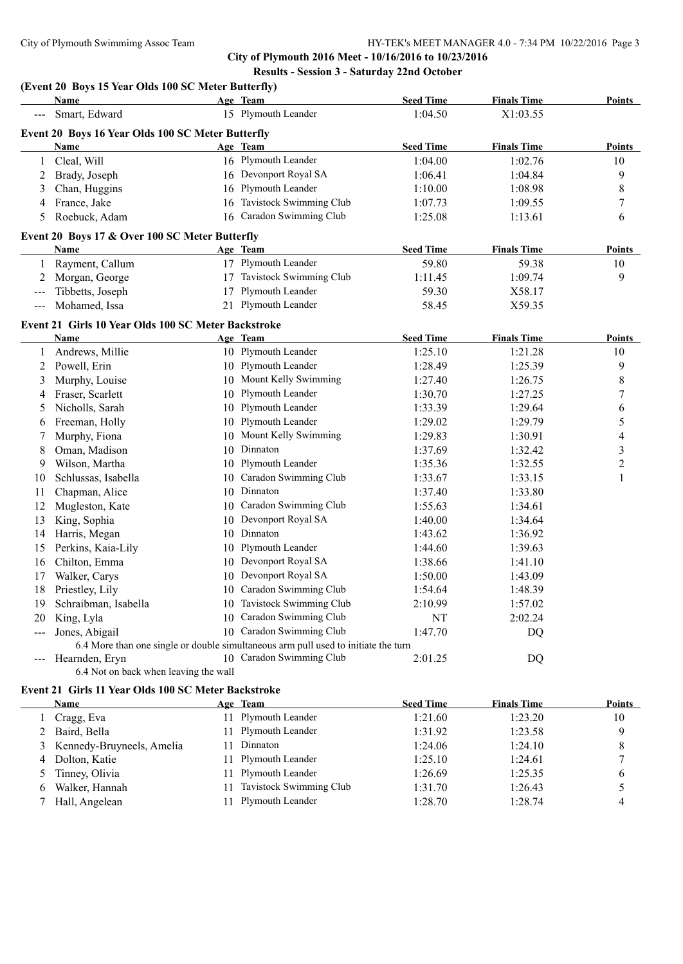**City of Plymouth 2016 Meet - 10/16/2016 to 10/23/2016 Results - Session 3 - Saturday 22nd October**

|                      | (Event 20 Boys 15 Year Olds 100 SC Meter Butterfly)<br><b>Name</b> |    | Age Team                                                                           | <b>Seed Time</b> | <b>Finals Time</b> | <b>Points</b>  |
|----------------------|--------------------------------------------------------------------|----|------------------------------------------------------------------------------------|------------------|--------------------|----------------|
| $\sim$ $\sim$ $\sim$ | Smart, Edward                                                      |    | 15 Plymouth Leander                                                                | 1:04.50          | X1:03.55           |                |
|                      | Event 20 Boys 16 Year Olds 100 SC Meter Butterfly                  |    |                                                                                    |                  |                    |                |
|                      | <b>Name</b>                                                        |    | Age Team                                                                           | <b>Seed Time</b> | <b>Finals Time</b> | <b>Points</b>  |
| $\mathbf{1}$         | Cleal, Will                                                        |    | 16 Plymouth Leander                                                                | 1:04.00          | 1:02.76            | 10             |
| 2                    | Brady, Joseph                                                      |    | 16 Devonport Royal SA                                                              | 1:06.41          | 1:04.84            | $\overline{9}$ |
| 3                    | Chan, Huggins                                                      |    | 16 Plymouth Leander                                                                | 1:10.00          | 1:08.98            | 8              |
| 4                    | France, Jake                                                       | 16 | Tavistock Swimming Club                                                            | 1:07.73          | 1:09.55            | 7              |
| 5                    | Roebuck, Adam                                                      | 16 | Caradon Swimming Club                                                              | 1:25.08          | 1:13.61            | 6              |
|                      | Event 20 Boys 17 & Over 100 SC Meter Butterfly                     |    |                                                                                    |                  |                    |                |
|                      | Name                                                               |    | Age Team                                                                           | <b>Seed Time</b> | <b>Finals Time</b> | <b>Points</b>  |
| 1                    | Rayment, Callum                                                    |    | 17 Plymouth Leander                                                                | 59.80            | 59.38              | 10             |
| 2                    | Morgan, George                                                     |    | 17 Tavistock Swimming Club                                                         | 1:11.45          | 1:09.74            | 9              |
| $\frac{1}{2}$        | Tibbetts, Joseph                                                   |    | 17 Plymouth Leander                                                                | 59.30            | X58.17             |                |
| $\qquad \qquad - -$  | Mohamed, Issa                                                      |    | 21 Plymouth Leander                                                                | 58.45            | X59.35             |                |
|                      | Event 21 Girls 10 Year Olds 100 SC Meter Backstroke                |    |                                                                                    |                  |                    |                |
|                      | Name                                                               |    | Age Team                                                                           | <b>Seed Time</b> | <b>Finals Time</b> | Points         |
| $\mathbf{1}$         | Andrews, Millie                                                    |    | 10 Plymouth Leander                                                                | 1:25.10          | 1:21.28            | 10             |
| 2                    | Powell, Erin                                                       |    | 10 Plymouth Leander                                                                | 1:28.49          | 1:25.39            | $\overline{9}$ |
| 3                    | Murphy, Louise                                                     |    | 10 Mount Kelly Swimming                                                            | 1:27.40          | 1:26.75            | $\,8\,$        |
| 4                    | Fraser, Scarlett                                                   |    | 10 Plymouth Leander                                                                | 1:30.70          | 1:27.25            | $\tau$         |
| 5                    | Nicholls, Sarah                                                    |    | 10 Plymouth Leander                                                                | 1:33.39          | 1:29.64            | 6              |
| 6                    | Freeman, Holly                                                     |    | 10 Plymouth Leander                                                                | 1:29.02          | 1:29.79            | 5              |
| 7                    | Murphy, Fiona                                                      |    | 10 Mount Kelly Swimming                                                            | 1:29.83          | 1:30.91            | 4              |
| 8                    | Oman, Madison                                                      |    | 10 Dinnaton                                                                        | 1:37.69          | 1:32.42            | 3              |
| 9                    | Wilson, Martha                                                     |    | 10 Plymouth Leander                                                                | 1:35.36          | 1:32.55            | $\overline{c}$ |
| 10                   | Schlussas, Isabella                                                | 10 | Caradon Swimming Club                                                              | 1:33.67          | 1:33.15            | 1              |
| 11                   | Chapman, Alice                                                     |    | 10 Dinnaton                                                                        | 1:37.40          | 1:33.80            |                |
| 12                   | Mugleston, Kate                                                    |    | 10 Caradon Swimming Club                                                           | 1:55.63          | 1:34.61            |                |
| 13                   | King, Sophia                                                       |    | 10 Devonport Royal SA                                                              | 1:40.00          | 1:34.64            |                |
| 14                   | Harris, Megan                                                      |    | 10 Dinnaton                                                                        | 1:43.62          | 1:36.92            |                |
| 15                   | Perkins, Kaia-Lily                                                 |    | 10 Plymouth Leander                                                                | 1:44.60          | 1:39.63            |                |
| 16                   | Chilton, Emma                                                      |    | 10 Devonport Royal SA                                                              | 1:38.66          | 1:41.10            |                |
| 17                   | Walker, Carys                                                      |    | 10 Devonport Royal SA                                                              | 1:50.00          | 1:43.09            |                |
| 18                   | Priestley, Lily                                                    | 10 | Caradon Swimming Club                                                              | 1:54.64          | 1:48.39            |                |
| 19                   | Schraibman, Isabella                                               |    | 10 Tavistock Swimming Club                                                         | 2:10.99          | 1:57.02            |                |
| 20                   | King, Lyla                                                         | 10 | Caradon Swimming Club                                                              | NT               | 2:02.24            |                |
| $---$                | Jones, Abigail                                                     |    | 10 Caradon Swimming Club                                                           | 1:47.70          | DQ                 |                |
|                      |                                                                    |    | 6.4 More than one single or double simultaneous arm pull used to initiate the turn |                  |                    |                |
| $---$                | Hearnden, Eryn                                                     |    | 10 Caradon Swimming Club                                                           | 2:01.25          | DQ                 |                |
|                      | 6.4 Not on back when leaving the wall                              |    |                                                                                    |                  |                    |                |

# **Event 21 Girls 11 Year Olds 100 SC Meter Backstroke**

|   | <b>Name</b>                 | Age Team                | <b>Seed Time</b> | <b>Finals Time</b> | <b>Points</b> |
|---|-----------------------------|-------------------------|------------------|--------------------|---------------|
|   | Cragg, Eva                  | 11 Plymouth Leander     | 1:21.60          | 1:23.20            | 10            |
|   | 2 Baird, Bella              | 11 Plymouth Leander     | 1:31.92          | 1:23.58            | 9             |
|   | 3 Kennedy-Bruyneels, Amelia | Dinnaton                | 1:24.06          | 1:24.10            | 8             |
|   | 4 Dolton, Katie             | 11 Plymouth Leander     | 1:25.10          | 1:24.61            |               |
|   | Tinney, Olivia              | 11 Plymouth Leander     | 1:26.69          | 1:25.35            | 6             |
| 6 | Walker, Hannah              | Tavistock Swimming Club | 1:31.70          | 1:26.43            |               |
|   | Hall, Angelean              | 11 Plymouth Leander     | 1:28.70          | 1:28.74            |               |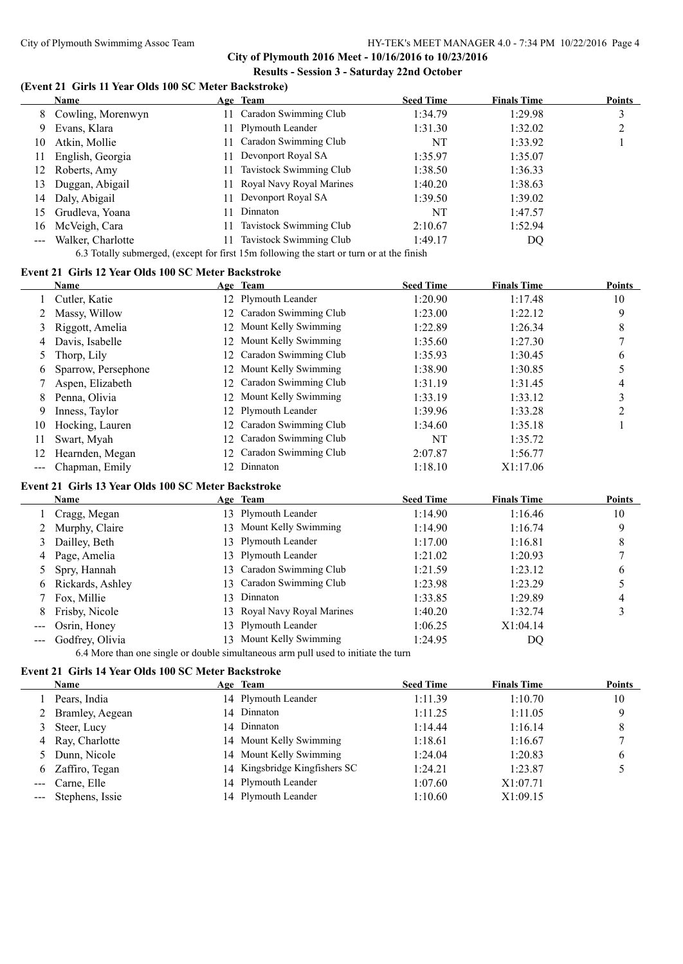**City of Plymouth 2016 Meet - 10/16/2016 to 10/23/2016 Results - Session 3 - Saturday 22nd October**

#### **(Event 21 Girls 11 Year Olds 100 SC Meter Backstroke)**

|    | Name              | Age Team                    | <b>Seed Time</b> | <b>Finals Time</b> | <b>Points</b> |
|----|-------------------|-----------------------------|------------------|--------------------|---------------|
| 8  | Cowling, Morenwyn | Caradon Swimming Club       | 1:34.79          | 1:29.98            | 3             |
| 9  | Evans, Klara      | 11 Plymouth Leander         | 1:31.30          | 1:32.02            |               |
| 10 | Atkin, Mollie     | 1 Caradon Swimming Club     | NT               | 1:33.92            |               |
| 11 | English, Georgia  | 11 Devonport Royal SA       | 1:35.97          | 1:35.07            |               |
| 12 | Roberts, Amy      | Tavistock Swimming Club     | 1:38.50          | 1:36.33            |               |
| 13 | Duggan, Abigail   | 11 Royal Navy Royal Marines | 1:40.20          | 1:38.63            |               |
| 14 | Daly, Abigail     | 11 Devonport Royal SA       | 1:39.50          | 1:39.02            |               |
| 15 | Grudleva, Yoana   | Dinnaton                    | NT               | 1:47.57            |               |
| 16 | McVeigh, Cara     | Tavistock Swimming Club     | 2:10.67          | 1:52.94            |               |
|    | Walker, Charlotte | Tavistock Swimming Club     | 1:49.17          | DQ                 |               |

6.3 Totally submerged, (except for first 15m following the start or turn or at the finish

# **Event 21 Girls 12 Year Olds 100 SC Meter Backstroke**

|    | Name                |     | Age Team                 | <b>Seed Time</b> | <b>Finals Time</b> | <b>Points</b> |
|----|---------------------|-----|--------------------------|------------------|--------------------|---------------|
|    | Cutler, Katie       |     | 12 Plymouth Leander      | 1:20.90          | 1:17.48            | 10            |
|    | Massy, Willow       |     | 12 Caradon Swimming Club | 1:23.00          | 1:22.12            | 9             |
| 3  | Riggott, Amelia     |     | 12 Mount Kelly Swimming  | 1:22.89          | 1:26.34            | 8             |
| 4  | Davis, Isabelle     |     | 12 Mount Kelly Swimming  | 1:35.60          | 1:27.30            |               |
|    | Thorp, Lily         | 12  | Caradon Swimming Club    | 1:35.93          | 1:30.45            | 6             |
| 6  | Sparrow, Persephone |     | 12 Mount Kelly Swimming  | 1:38.90          | 1:30.85            |               |
|    | Aspen, Elizabeth    |     | 12 Caradon Swimming Club | 1:31.19          | 1:31.45            |               |
| 8  | Penna, Olivia       |     | 12 Mount Kelly Swimming  | 1:33.19          | 1:33.12            |               |
| 9  | Inness, Taylor      |     | 12 Plymouth Leander      | 1:39.96          | 1:33.28            | ↑             |
| 10 | Hocking, Lauren     |     | 12 Caradon Swimming Club | 1:34.60          | 1:35.18            |               |
| 11 | Swart, Myah         | 12. | Caradon Swimming Club    | NT               | 1:35.72            |               |
| 12 | Hearnden, Megan     | 12  | Caradon Swimming Club    | 2:07.87          | 1:56.77            |               |
|    | Chapman, Emily      |     | Dinnaton                 | 1:18.10          | X1:17.06           |               |

#### **Event 21 Girls 13 Year Olds 100 SC Meter Backstroke**

|   | Name                |     | Age Team                                                                                                                                                                                                                                                                        | <b>Seed Time</b> | <b>Finals Time</b> | <b>Points</b> |
|---|---------------------|-----|---------------------------------------------------------------------------------------------------------------------------------------------------------------------------------------------------------------------------------------------------------------------------------|------------------|--------------------|---------------|
|   | Cragg, Megan        |     | 13 Plymouth Leander                                                                                                                                                                                                                                                             | 1:14.90          | 1:16.46            | 10            |
|   | 2 Murphy, Claire    |     | 13 Mount Kelly Swimming                                                                                                                                                                                                                                                         | 1:14.90          | 1:16.74            |               |
|   | 3 Dailley, Beth     |     | 13 Plymouth Leander                                                                                                                                                                                                                                                             | 1:17.00          | 1:16.81            | 8             |
|   | 4 Page, Amelia      |     | 13 Plymouth Leander                                                                                                                                                                                                                                                             | 1:21.02          | 1:20.93            |               |
|   | 5 Spry, Hannah      |     | 13 Caradon Swimming Club                                                                                                                                                                                                                                                        | 1:21.59          | 1:23.12            | 6             |
|   | 6 Rickards, Ashley  |     | 13 Caradon Swimming Club                                                                                                                                                                                                                                                        | 1:23.98          | 1:23.29            |               |
|   | 7 Fox, Millie       | 13. | Dinnaton                                                                                                                                                                                                                                                                        | 1:33.85          | 1:29.89            | 4             |
| 8 | Frisby, Nicole      |     | 13 Royal Navy Royal Marines                                                                                                                                                                                                                                                     | 1:40.20          | 1:32.74            |               |
|   | --- Osrin, Honey    |     | 13 Plymouth Leander                                                                                                                                                                                                                                                             | 1:06.25          | X1:04.14           |               |
|   | --- Godfrey, Olivia |     | 13 Mount Kelly Swimming                                                                                                                                                                                                                                                         | 1:24.95          | DQ                 |               |
|   |                     |     | $\sqrt{15}$ and $\sqrt{15}$ and $\sqrt{15}$ and $\sqrt{15}$ and $\sqrt{15}$ and $\sqrt{15}$ and $\sqrt{15}$ and $\sqrt{15}$ and $\sqrt{15}$ and $\sqrt{15}$ and $\sqrt{15}$ and $\sqrt{15}$ and $\sqrt{15}$ and $\sqrt{15}$ and $\sqrt{15}$ and $\sqrt{15}$ and $\sqrt{15}$ and |                  |                    |               |

6.4 More than one single or double simultaneous arm pull used to initiate the turn

## **Event 21 Girls 14 Year Olds 100 SC Meter Backstroke**

| <b>Name</b>         | Age Team                      | <b>Seed Time</b> | <b>Finals Time</b> | <b>Points</b> |
|---------------------|-------------------------------|------------------|--------------------|---------------|
| Pears, India        | 14 Plymouth Leander           | 1:11.39          | 1:10.70            | 10            |
| 2 Bramley, Aegean   | 14 Dinnaton                   | 1:11.25          | 1:11.05            | Q             |
| 3 Steer, Lucy       | 14 Dinnaton                   | 1:14.44          | 1:16.14            | 8             |
| 4 Ray, Charlotte    | 14 Mount Kelly Swimming       | 1:18.61          | 1:16.67            |               |
| 5 Dunn, Nicole      | 14 Mount Kelly Swimming       | 1:24.04          | 1:20.83            | 6             |
| 6 Zaffiro, Tegan    | 14 Kingsbridge Kingfishers SC | 1:24.21          | 1:23.87            |               |
| --- Carne, Elle     | 14 Plymouth Leander           | 1:07.60          | X1:07.71           |               |
| --- Stephens, Issie | 14 Plymouth Leander           | 1:10.60          | X1:09.15           |               |
|                     |                               |                  |                    |               |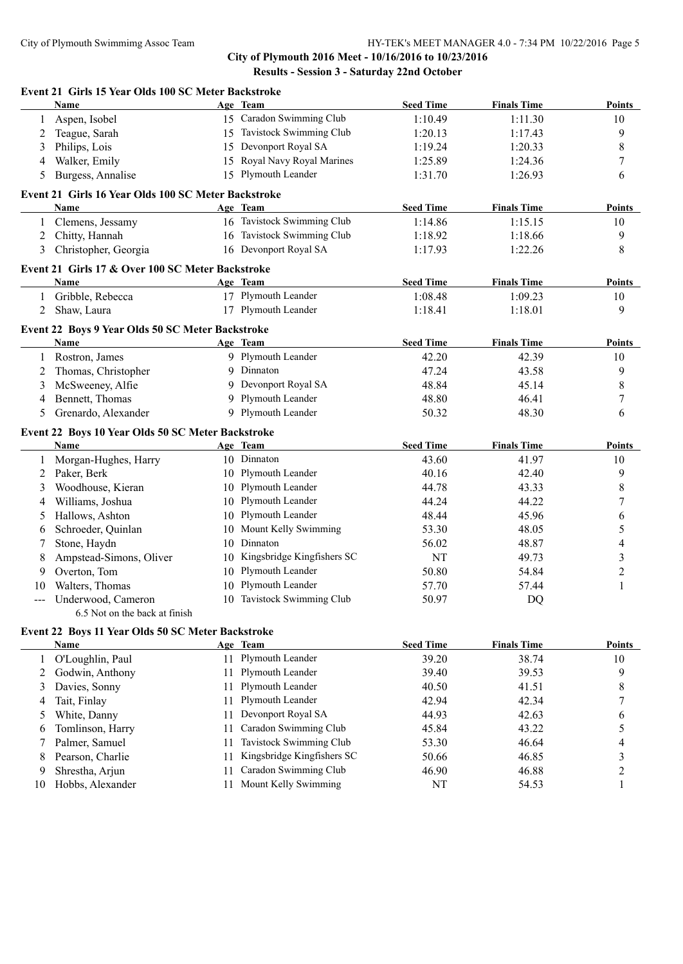**City of Plymouth 2016 Meet - 10/16/2016 to 10/23/2016 Results - Session 3 - Saturday 22nd October**

|                | Event 21 Girls 15 Year Olds 100 SC Meter Backstroke      |    |                               |                  |                    |                  |
|----------------|----------------------------------------------------------|----|-------------------------------|------------------|--------------------|------------------|
|                | Name                                                     |    | Age Team                      | <b>Seed Time</b> | <b>Finals Time</b> | Points           |
| 1              | Aspen, Isobel                                            |    | 15 Caradon Swimming Club      | 1:10.49          | 1:11.30            | 10               |
| 2              | Teague, Sarah                                            |    | 15 Tavistock Swimming Club    | 1:20.13          | 1:17.43            | 9                |
| 3              | Philips, Lois                                            |    | 15 Devonport Royal SA         | 1:19.24          | 1:20.33            | $\,$ $\,$        |
| 4              | Walker, Emily                                            | 15 | Royal Navy Royal Marines      | 1:25.89          | 1:24.36            | 7                |
| 5              | Burgess, Annalise                                        |    | 15 Plymouth Leander           | 1:31.70          | 1:26.93            | 6                |
|                | Event 21 Girls 16 Year Olds 100 SC Meter Backstroke      |    |                               |                  |                    |                  |
|                | Name                                                     |    | Age Team                      | <b>Seed Time</b> | <b>Finals Time</b> | Points           |
| $\mathbf{1}$   | Clemens, Jessamy                                         |    | 16 Tavistock Swimming Club    | 1:14.86          | 1:15.15            | 10               |
| $\overline{2}$ | Chitty, Hannah                                           |    | 16 Tavistock Swimming Club    | 1:18.92          | 1:18.66            | 9                |
| 3              | Christopher, Georgia                                     |    | 16 Devonport Royal SA         | 1:17.93          | 1:22.26            | 8                |
|                | Event 21 Girls 17 & Over 100 SC Meter Backstroke         |    |                               |                  |                    |                  |
|                | Name                                                     |    | Age Team                      | <b>Seed Time</b> | <b>Finals Time</b> | Points           |
| $\mathbf{1}$   | Gribble, Rebecca                                         |    | 17 Plymouth Leander           | 1:08.48          | 1:09.23            | 10               |
| 2              | Shaw, Laura                                              |    | 17 Plymouth Leander           | 1:18.41          | 1:18.01            | 9                |
|                |                                                          |    |                               |                  |                    |                  |
|                | Event 22 Boys 9 Year Olds 50 SC Meter Backstroke<br>Name |    | Age Team                      | <b>Seed Time</b> | <b>Finals Time</b> | <b>Points</b>    |
| 1              | Rostron, James                                           |    | 9 Plymouth Leander            | 42.20            | 42.39              | 10               |
| 2              | Thomas, Christopher                                      |    | 9 Dinnaton                    | 47.24            | 43.58              | 9                |
| 3              | McSweeney, Alfie                                         |    | 9 Devonport Royal SA          | 48.84            | 45.14              | $\,8\,$          |
| 4              | Bennett, Thomas                                          |    | 9 Plymouth Leander            | 48.80            | 46.41              | $\boldsymbol{7}$ |
|                |                                                          |    | 9 Plymouth Leander            |                  |                    |                  |
| 5              | Grenardo, Alexander                                      |    |                               | 50.32            | 48.30              | 6                |
|                | Event 22 Boys 10 Year Olds 50 SC Meter Backstroke        |    |                               |                  |                    |                  |
|                | Name                                                     |    | Age Team                      | <b>Seed Time</b> | <b>Finals Time</b> | <b>Points</b>    |
| $\mathbf{1}$   | Morgan-Hughes, Harry                                     |    | 10 Dinnaton                   | 43.60            | 41.97              | 10               |
| 2              | Paker, Berk                                              |    | 10 Plymouth Leander           | 40.16            | 42.40              | 9                |
| 3              | Woodhouse, Kieran                                        |    | 10 Plymouth Leander           | 44.78            | 43.33              | $\,$ $\,$        |
| 4              | Williams, Joshua                                         | 10 | Plymouth Leander              | 44.24            | 44.22              | $\boldsymbol{7}$ |
| 5              | Hallows, Ashton                                          | 10 | Plymouth Leander              | 48.44            | 45.96              | 6                |
| 6              | Schroeder, Quinlan                                       | 10 | Mount Kelly Swimming          | 53.30            | 48.05              | 5                |
|                | Stone, Haydn                                             | 10 | Dinnaton                      | 56.02            | 48.87              | 4                |
| 8              | Ampstead-Simons, Oliver                                  |    | 10 Kingsbridge Kingfishers SC | NT               | 49.73              | 3                |
| 9              | Overton, Tom                                             |    | 10 Plymouth Leander           | 50.80            | 54.84              | $\boldsymbol{2}$ |
| 10             | Walters, Thomas                                          |    | 10 Plymouth Leander           | 57.70            | 57.44              | 1                |
|                | Underwood, Cameron                                       |    | 10 Tavistock Swimming Club    | 50.97            | DQ                 |                  |
|                | 6.5 Not on the back at finish                            |    |                               |                  |                    |                  |
|                | Event 22 Boys 11 Year Olds 50 SC Meter Backstroke        |    |                               |                  |                    |                  |
|                | <b>Name</b>                                              |    | Age Team                      | <b>Seed Time</b> | <b>Finals Time</b> | <b>Points</b>    |
| $\mathbf{1}$   | O'Loughlin, Paul                                         | 11 | Plymouth Leander              | 39.20            | 38.74              | 10               |
| 2              | Godwin, Anthony                                          | 11 | Plymouth Leander              | 39.40            | 39.53              | 9                |
| 3              | Davies, Sonny                                            | 11 | Plymouth Leander              | 40.50            | 41.51              | $\,$ $\,$        |
| 4              | Tait, Finlay                                             | 11 | Plymouth Leander              | 42.94            | 42.34              | 7                |
| 5              | White, Danny                                             | 11 | Devonport Royal SA            | 44.93            | 42.63              | 6                |
| 6              | Tomlinson, Harry                                         | 11 | Caradon Swimming Club         | 45.84            | 43.22              | 5                |
| 7              | Palmer, Samuel                                           | 11 | Tavistock Swimming Club       | 53.30            | 46.64              | 4                |
| 8              | Pearson, Charlie                                         | 11 | Kingsbridge Kingfishers SC    | 50.66            | 46.85              | 3                |
| 9              | Shrestha, Arjun                                          | 11 | Caradon Swimming Club         | 46.90            | 46.88              | $\overline{c}$   |
| 10             | Hobbs, Alexander                                         | 11 | Mount Kelly Swimming          | NT               | 54.53              | 1                |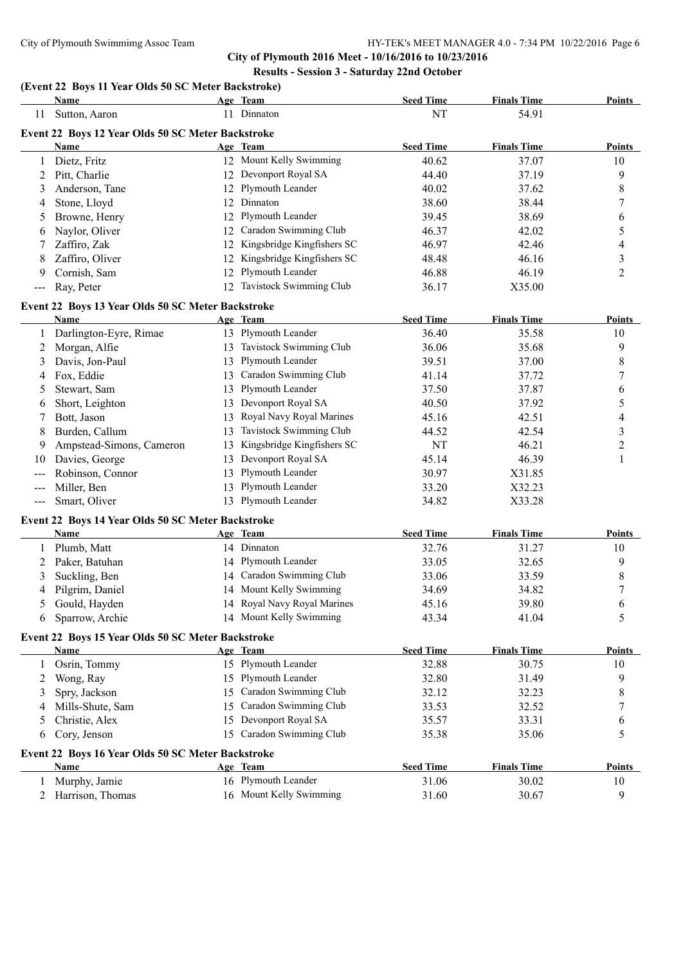**City of Plymouth 2016 Meet - 10/16/2016 to 10/23/2016 Results - Session 3 - Saturday 22nd October**

# **(Event 22 Boys 11 Year Olds 50 SC Meter Backstroke)**

|              | <b>Name</b>                                       |    | Age Team                    | <b>Seed Time</b> | <b>Finals Time</b> | Points         |
|--------------|---------------------------------------------------|----|-----------------------------|------------------|--------------------|----------------|
| 11           | Sutton, Aaron                                     |    | 11 Dinnaton                 | NT               | 54.91              |                |
|              | Event 22 Boys 12 Year Olds 50 SC Meter Backstroke |    |                             |                  |                    |                |
|              | Name                                              |    | Age Team                    | <b>Seed Time</b> | <b>Finals Time</b> | <b>Points</b>  |
| 1            | Dietz, Fritz                                      |    | 12 Mount Kelly Swimming     | 40.62            | 37.07              | 10             |
| 2            | Pitt, Charlie                                     |    | 12 Devonport Royal SA       | 44.40            | 37.19              | 9              |
| 3            | Anderson, Tane                                    |    | 12 Plymouth Leander         | 40.02            | 37.62              | 8              |
| 4            | Stone, Lloyd                                      |    | 12 Dinnaton                 | 38.60            | 38.44              | 7              |
| 5            | Browne, Henry                                     |    | 12 Plymouth Leander         | 39.45            | 38.69              | 6              |
| 6            | Naylor, Oliver                                    | 12 | Caradon Swimming Club       | 46.37            | 42.02              | 5              |
| 7            | Zaffiro, Zak                                      | 12 | Kingsbridge Kingfishers SC  | 46.97            | 42.46              | 4              |
| 8            | Zaffiro, Oliver                                   | 12 | Kingsbridge Kingfishers SC  | 48.48            | 46.16              | 3              |
| 9            | Cornish, Sam                                      | 12 | Plymouth Leander            | 46.88            | 46.19              | 2              |
| $--$         | Ray, Peter                                        | 12 | Tavistock Swimming Club     | 36.17            | X35.00             |                |
|              |                                                   |    |                             |                  |                    |                |
|              | Event 22 Boys 13 Year Olds 50 SC Meter Backstroke |    |                             |                  |                    |                |
|              | Name                                              |    | Age Team                    | <b>Seed Time</b> | <b>Finals Time</b> | <b>Points</b>  |
| $\mathbf{1}$ | Darlington-Eyre, Rimae                            |    | 13 Plymouth Leander         | 36.40            | 35.58              | 10             |
| 2            | Morgan, Alfie                                     | 13 | Tavistock Swimming Club     | 36.06            | 35.68              | 9              |
| 3            | Davis, Jon-Paul                                   | 13 | Plymouth Leander            | 39.51            | 37.00              | 8              |
| 4            | Fox, Eddie                                        | 13 | Caradon Swimming Club       | 41.14            | 37.72              | 7              |
| 5            | Stewart, Sam                                      | 13 | Plymouth Leander            | 37.50            | 37.87              | 6              |
| 6            | Short, Leighton                                   | 13 | Devonport Royal SA          | 40.50            | 37.92              | 5              |
| 7            | Bott, Jason                                       | 13 | Royal Navy Royal Marines    | 45.16            | 42.51              | 4              |
| 8            | Burden, Callum                                    | 13 | Tavistock Swimming Club     | 44.52            | 42.54              | 3              |
| 9            | Ampstead-Simons, Cameron                          | 13 | Kingsbridge Kingfishers SC  | NT               | 46.21              | $\overline{c}$ |
| 10           | Davies, George                                    | 13 | Devonport Royal SA          | 45.14            | 46.39              | 1              |
| ---          | Robinson, Connor                                  | 13 | Plymouth Leander            | 30.97            | X31.85             |                |
| ---          | Miller, Ben                                       | 13 | Plymouth Leander            | 33.20            | X32.23             |                |
| $---$        | Smart, Oliver                                     | 13 | Plymouth Leander            | 34.82            | X33.28             |                |
|              | Event 22 Boys 14 Year Olds 50 SC Meter Backstroke |    |                             |                  |                    |                |
|              | Name                                              |    | Age Team                    | <b>Seed Time</b> | <b>Finals Time</b> | <b>Points</b>  |
| 1            | Plumb, Matt                                       |    | 14 Dinnaton                 | 32.76            | 31.27              | 10             |
| 2            | Paker, Batuhan                                    | 14 | Plymouth Leander            | 33.05            | 32.65              | 9              |
| 3            | Suckling, Ben                                     | 14 | Caradon Swimming Club       | 33.06            | 33.59              | 8              |
| 4            | Pilgrim, Daniel                                   | 14 | Mount Kelly Swimming        | 34.69            | 34.82              | 7              |
| 5            | Gould, Hayden                                     |    | 14 Royal Navy Royal Marines | 45.16            | 39.80              | 6              |
| 6            | Sparrow, Archie                                   |    | 14 Mount Kelly Swimming     | 43.34            | 41.04              | 5              |
|              |                                                   |    |                             |                  |                    |                |
|              | Event 22 Boys 15 Year Olds 50 SC Meter Backstroke |    |                             |                  |                    |                |
|              | <b>Name</b>                                       |    | Age Team                    | <b>Seed Time</b> | <b>Finals Time</b> | <b>Points</b>  |
| 1            | Osrin, Tommy                                      |    | 15 Plymouth Leander         | 32.88            | 30.75              | 10             |
| 2            | Wong, Ray                                         |    | 15 Plymouth Leander         | 32.80            | 31.49              | 9              |
| 3            | Spry, Jackson                                     | 15 | Caradon Swimming Club       | 32.12            | 32.23              | 8              |
| 4            | Mills-Shute, Sam                                  | 15 | Caradon Swimming Club       | 33.53            | 32.52              | 7              |
| 5            | Christie, Alex                                    | 15 | Devonport Royal SA          | 35.57            | 33.31              | 6              |
| 6            | Cory, Jenson                                      | 15 | Caradon Swimming Club       | 35.38            | 35.06              | 5              |
|              | Event 22 Boys 16 Year Olds 50 SC Meter Backstroke |    |                             |                  |                    |                |
|              | Name                                              |    | Age Team                    | <b>Seed Time</b> | <b>Finals Time</b> | <b>Points</b>  |
| 1            | Murphy, Jamie                                     |    | 16 Plymouth Leander         | 31.06            | 30.02              | 10             |
| 2            | Harrison, Thomas                                  |    | 16 Mount Kelly Swimming     | 31.60            | 30.67              | 9              |
|              |                                                   |    |                             |                  |                    |                |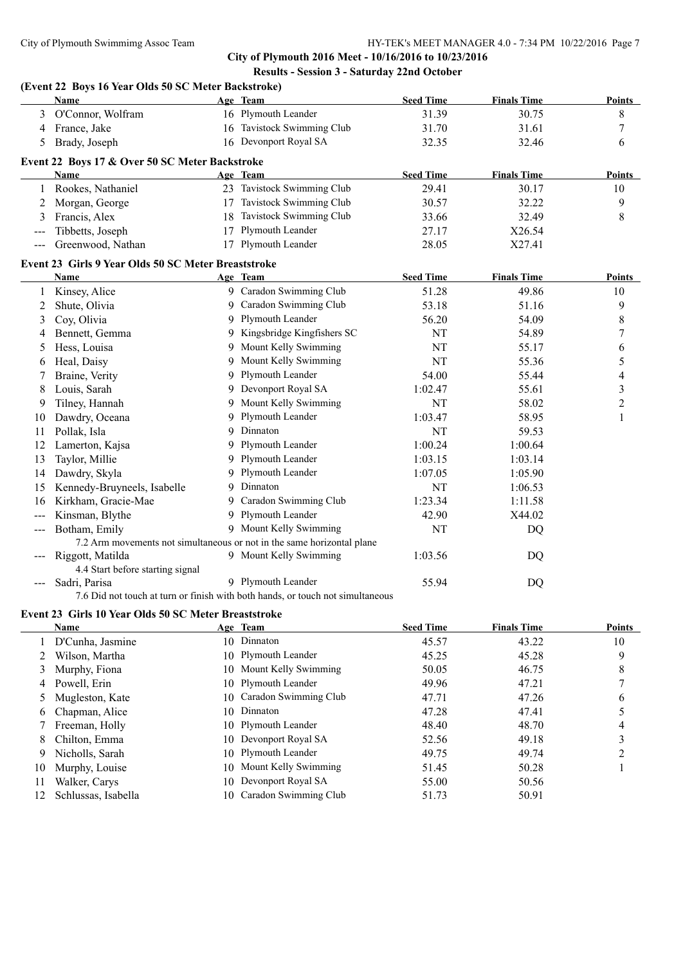**City of Plymouth 2016 Meet - 10/16/2016 to 10/23/2016 Results - Session 3 - Saturday 22nd October**

## **(Event 22 Boys 16 Year Olds 50 SC Meter Backstroke) Name Age Team Seed Time Finals Time Points** 3 O'Connor, Wolfram 16 Plymouth Leander 31.39 30.75 8 4 France, Jake 16 Tavistock Swimming Club 31.70 31.61 7 5 Brady, Joseph 16 Devonport Royal SA 32.35 32.46 6 **Event 22 Boys 17 & Over 50 SC Meter Backstroke Name Age Team Seed Time Finals Time Points** 1 Rookes, Nathaniel 23 Tavistock Swimming Club 29.41 30.17 10 2 Morgan, George 17 Tavistock Swimming Club 30.57 32.22 9 3 Francis, Alex 18 Tavistock Swimming Club 33.66 32.49 8 Tibbetts, Joseph 17 Plymouth Leander 27.17 X26.54 --- Greenwood, Nathan 17 Plymouth Leander 28.05 X27.41 **Event 23 Girls 9 Year Olds 50 SC Meter Breaststroke Name Age Team Seed Time Finals Time Points** 1 Kinsey, Alice 9 Caradon Swimming Club 51.28 49.86 10 2 Shute, Olivia 9 Caradon Swimming Club 53.18 51.16 9 3 Coy, Olivia 3 9 Plymouth Leander 56.20 54.09 8 4 Bennett, Gemma 9 Kingsbridge Kingfishers SC NT 54.89 7 5 Hess, Louisa 6 9 Mount Kelly Swimming 19 NT 55.17 6 6 Heal, Daisy 9 Mount Kelly Swimming 19 NT 55.36 5 7 Braine, Verity **9 Plymouth Leander** 54.00 55.44 4 4 8 Louis, Sarah 9 Devonport Royal SA 1:02.47 55.61 3 9 Tilney, Hannah 9 Mount Kelly Swimming NT 58.02 2 10 Dawdry, Oceana 9 Plymouth Leander 1:03.47 58.95 1 11 Pollak, Isla 9 Dinnaton NT 59.53 12 Lamerton, Kajsa 9 Plymouth Leander 1:00.24 1:00.64 13 Taylor, Millie 9 Plymouth Leander 1:03.15 1:03.14 14 Dawdry, Skyla 9 Plymouth Leander 1:07.05 1:05.90 15 Kennedy-Bruyneels, Isabelle 9 Dinnaton 1:06.53 16 Kirkham, Gracie-Mae 9 Caradon Swimming Club 1:23.34 1:11.58 --- Kinsman, Blythe 9 Plymouth Leander 42.90 X44.02 --- Botham, Emily 9 Mount Kelly Swimming NT NT DO 7.2 Arm movements not simultaneous or not in the same horizontal plane Riggott, Matilda **1:03.56** DO 9 Mount Kelly Swimming 1:03.56 DO 4.4 Start before starting signal --- Sadri, Parisa 9 Plymouth Leander 55.94 DQ 7.6 Did not touch at turn or finish with both hands, or touch not simultaneous **Event 23 Girls 10 Year Olds 50 SC Meter Breaststroke Name Age Team Seed Time Finals Time Points** 1 D'Cunha, Jasmine 10 Dinnaton 45.57 43.22 10 2 Wilson, Martha 10 Plymouth Leander 45.25 45.28 9

|    | D'Cunha, Jasmine    | 10 Dinnaton              | 45.57 | 43.22 | 10 |
|----|---------------------|--------------------------|-------|-------|----|
|    | Wilson, Martha      | 10 Plymouth Leander      | 45.25 | 45.28 | 9  |
|    | Murphy, Fiona       | 10 Mount Kelly Swimming  | 50.05 | 46.75 | 8  |
|    | 4 Powell, Erin      | 10 Plymouth Leander      | 49.96 | 47.21 |    |
|    | Mugleston, Kate     | 10 Caradon Swimming Club | 47.71 | 47.26 | 6  |
|    | 6 Chapman, Alice    | 10 Dinnaton              | 47.28 | 47.41 |    |
|    | Freeman, Holly      | 10 Plymouth Leander      | 48.40 | 48.70 | 4  |
| 8. | Chilton, Emma       | 10 Devonport Royal SA    | 52.56 | 49.18 |    |
|    | 9 Nicholls, Sarah   | 10 Plymouth Leander      | 49.75 | 49.74 |    |
| 10 | Murphy, Louise      | 10 Mount Kelly Swimming  | 51.45 | 50.28 |    |
| 11 | Walker, Carys       | 10 Devonport Royal SA    | 55.00 | 50.56 |    |
|    | Schlussas, Isabella | 10 Caradon Swimming Club | 51.73 | 50.91 |    |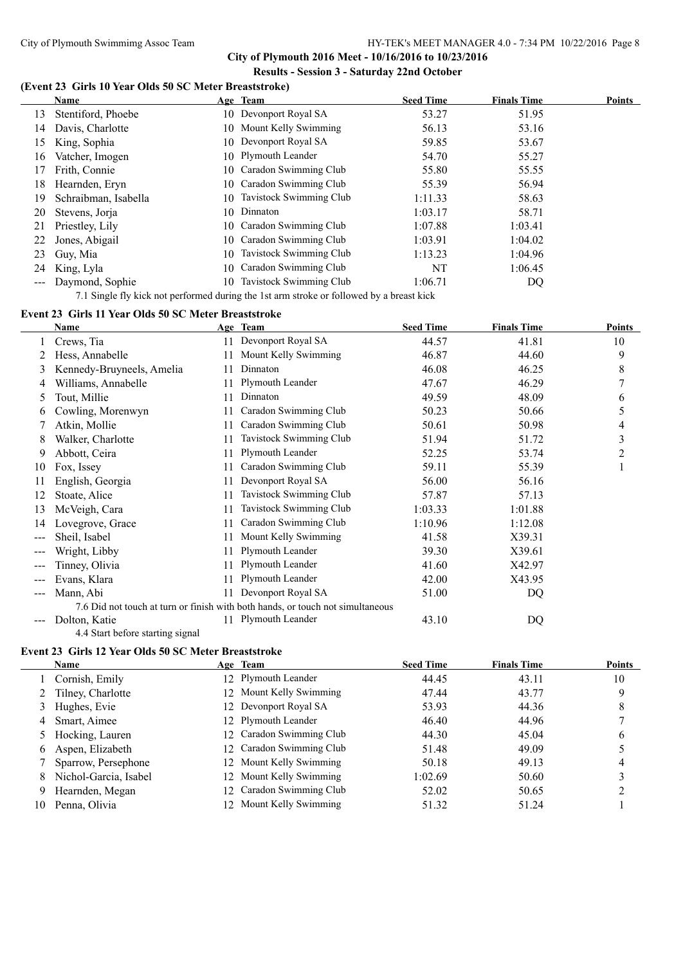**City of Plymouth 2016 Meet - 10/16/2016 to 10/23/2016 Results - Session 3 - Saturday 22nd October**

### **(Event 23 Girls 10 Year Olds 50 SC Meter Breaststroke)**

|     | Name                 |     | Age Team                   | <b>Seed Time</b> | <b>Finals Time</b> | <b>Points</b> |
|-----|----------------------|-----|----------------------------|------------------|--------------------|---------------|
| 13. | Stentiford, Phoebe   |     | 10 Devonport Royal SA      | 53.27            | 51.95              |               |
| 14  | Davis, Charlotte     |     | 10 Mount Kelly Swimming    | 56.13            | 53.16              |               |
| 15  | King, Sophia         |     | 10 Devonport Royal SA      | 59.85            | 53.67              |               |
| 16  | Vatcher, Imogen      |     | 10 Plymouth Leander        | 54.70            | 55.27              |               |
| 17  | Frith, Connie        |     | 10 Caradon Swimming Club   | 55.80            | 55.55              |               |
| 18. | Hearnden, Ervn       | 10  | Caradon Swimming Club      | 55.39            | 56.94              |               |
| 19  | Schraibman, Isabella |     | 10 Tavistock Swimming Club | 1:11.33          | 58.63              |               |
| 20  | Stevens, Jorja       |     | 10 Dinnaton                | 1:03.17          | 58.71              |               |
| 21  | Priestley, Lily      |     | 10 Caradon Swimming Club   | 1:07.88          | 1:03.41            |               |
| 22  | Jones, Abigail       |     | 10 Caradon Swimming Club   | 1:03.91          | 1:04.02            |               |
| 23  | Guy, Mia             | 10- | Tavistock Swimming Club    | 1:13.23          | 1:04.96            |               |
| 24  | King, Lyla           | 10  | Caradon Swimming Club      | NT               | 1:06.45            |               |
|     | Daymond, Sophie      | 10  | Tavistock Swimming Club    | 1:06.71          | DQ                 |               |

7.1 Single fly kick not performed during the 1st arm stroke or followed by a breast kick

## **Event 23 Girls 11 Year Olds 50 SC Meter Breaststroke**

|     | Name                             |    | Age Team                                                                       | <b>Seed Time</b> | <b>Finals Time</b> | <b>Points</b> |
|-----|----------------------------------|----|--------------------------------------------------------------------------------|------------------|--------------------|---------------|
|     | Crews, Tia                       | 11 | Devonport Royal SA                                                             | 44.57            | 41.81              | 10            |
|     | Hess, Annabelle                  | 11 | Mount Kelly Swimming                                                           | 46.87            | 44.60              | 9             |
| 3   | Kennedy-Bruyneels, Amelia        | 11 | Dinnaton                                                                       | 46.08            | 46.25              | 8             |
| 4   | Williams, Annabelle              | 11 | Plymouth Leander                                                               | 47.67            | 46.29              | 7             |
| 5   | Tout, Millie                     | 11 | Dinnaton                                                                       | 49.59            | 48.09              | 6             |
| 6   | Cowling, Morenwyn                | 11 | Caradon Swimming Club                                                          | 50.23            | 50.66              | 5             |
|     | Atkin, Mollie                    | 11 | Caradon Swimming Club                                                          | 50.61            | 50.98              | 4             |
| 8   | Walker, Charlotte                | 11 | Tavistock Swimming Club                                                        | 51.94            | 51.72              | 3             |
| 9   | Abbott, Ceira                    | 11 | Plymouth Leander                                                               | 52.25            | 53.74              | 2             |
| 10  | Fox, Issey                       |    | Caradon Swimming Club                                                          | 59.11            | 55.39              |               |
| 11  | English, Georgia                 | 11 | Devonport Royal SA                                                             | 56.00            | 56.16              |               |
| 12  | Stoate, Alice                    | 11 | Tavistock Swimming Club                                                        | 57.87            | 57.13              |               |
| 13  | McVeigh, Cara                    | 11 | Tavistock Swimming Club                                                        | 1:03.33          | 1:01.88            |               |
| 14  | Lovegrove, Grace                 | 11 | Caradon Swimming Club                                                          | 1:10.96          | 1:12.08            |               |
| --- | Sheil, Isabel                    | 11 | Mount Kelly Swimming                                                           | 41.58            | X39.31             |               |
|     | Wright, Libby                    | 11 | Plymouth Leander                                                               | 39.30            | X39.61             |               |
|     | Tinney, Olivia                   | 11 | Plymouth Leander                                                               | 41.60            | X42.97             |               |
|     | Evans, Klara                     | 11 | Plymouth Leander                                                               | 42.00            | X43.95             |               |
| --- | Mann, Abi                        | 11 | Devonport Royal SA                                                             | 51.00            | DQ                 |               |
|     |                                  |    | 7.6 Did not touch at turn or finish with both hands, or touch not simultaneous |                  |                    |               |
|     | Dolton, Katie                    | 11 | Plymouth Leander                                                               | 43.10            | DQ                 |               |
|     | 4.4 Start before starting signal |    |                                                                                |                  |                    |               |

### **Event 23 Girls 12 Year Olds 50 SC Meter Breaststroke**

|    | <b>Name</b>           | Age Team                 | <b>Seed Time</b> | <b>Finals Time</b> | <b>Points</b> |
|----|-----------------------|--------------------------|------------------|--------------------|---------------|
|    | Cornish, Emily        | 12 Plymouth Leander      | 44.45            | 43.11              | 10            |
|    | 2 Tilney, Charlotte   | 12 Mount Kelly Swimming  | 47.44            | 43.77              | 9             |
| 3  | Hughes, Evie          | 12 Devonport Royal SA    | 53.93            | 44.36              | 8             |
| 4  | Smart, Aimee          | 12 Plymouth Leander      | 46.40            | 44.96              |               |
|    | 5 Hocking, Lauren     | 12 Caradon Swimming Club | 44.30            | 45.04              | b             |
| 6  | Aspen, Elizabeth      | 12 Caradon Swimming Club | 51.48            | 49.09              |               |
|    | Sparrow, Persephone   | 12 Mount Kelly Swimming  | 50.18            | 49.13              |               |
| 8. | Nichol-Garcia, Isabel | 12 Mount Kelly Swimming  | 1:02.69          | 50.60              |               |
| 9  | Hearnden, Megan       | 12 Caradon Swimming Club | 52.02            | 50.65              |               |
| 10 | Penna, Olivia         | 12 Mount Kelly Swimming  | 51.32            | 51.24              |               |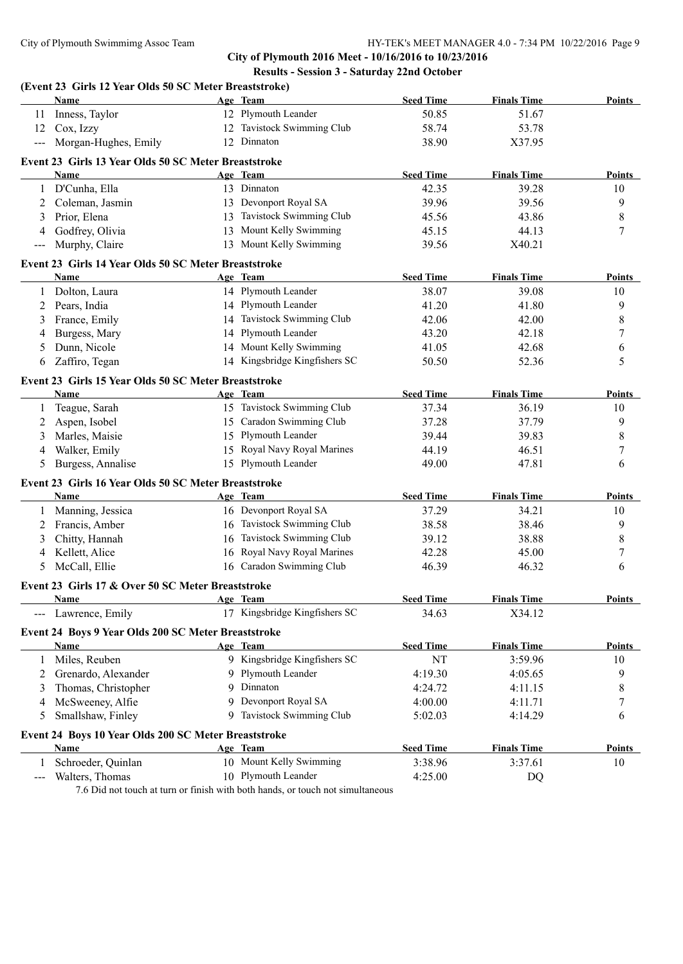**City of Plymouth 2016 Meet - 10/16/2016 to 10/23/2016 Results - Session 3 - Saturday 22nd October**

|                     | (Event 23 Girls 12 Year Olds 50 SC Meter Breaststroke)      |    |                               |                  |                    |               |
|---------------------|-------------------------------------------------------------|----|-------------------------------|------------------|--------------------|---------------|
|                     | Name                                                        |    | Age Team                      | <b>Seed Time</b> | <b>Finals Time</b> | Points        |
| 11                  | Inness, Taylor                                              |    | 12 Plymouth Leander           | 50.85            | 51.67              |               |
| 12                  | Cox, Izzy                                                   |    | 12 Tavistock Swimming Club    | 58.74            | 53.78              |               |
| $\qquad \qquad - -$ | Morgan-Hughes, Emily                                        |    | 12 Dinnaton                   | 38.90            | X37.95             |               |
|                     | Event 23 Girls 13 Year Olds 50 SC Meter Breaststroke        |    |                               |                  |                    |               |
|                     | <b>Name</b>                                                 |    | Age Team                      | <b>Seed Time</b> | <b>Finals Time</b> | Points        |
| 1                   | D'Cunha, Ella                                               |    | 13 Dinnaton                   | 42.35            | 39.28              | 10            |
| 2                   | Coleman, Jasmin                                             |    | 13 Devonport Royal SA         | 39.96            | 39.56              | 9             |
| 3                   | Prior, Elena                                                |    | 13 Tavistock Swimming Club    | 45.56            | 43.86              | 8             |
| 4                   | Godfrey, Olivia                                             |    | 13 Mount Kelly Swimming       | 45.15            | 44.13              | 7             |
| $---$               | Murphy, Claire                                              |    | 13 Mount Kelly Swimming       | 39.56            | X40.21             |               |
|                     | Event 23 Girls 14 Year Olds 50 SC Meter Breaststroke        |    |                               |                  |                    |               |
|                     | Name                                                        |    | Age Team                      | <b>Seed Time</b> | <b>Finals Time</b> | Points        |
| 1                   | Dolton, Laura                                               |    | 14 Plymouth Leander           | 38.07            | 39.08              | 10            |
| 2                   | Pears, India                                                |    | 14 Plymouth Leander           | 41.20            | 41.80              | 9             |
| 3                   | France, Emily                                               |    | 14 Tavistock Swimming Club    | 42.06            | 42.00              | 8             |
| 4                   | Burgess, Mary                                               |    | 14 Plymouth Leander           | 43.20            | 42.18              | $\sqrt{ }$    |
| 5                   | Dunn, Nicole                                                |    | 14 Mount Kelly Swimming       | 41.05            | 42.68              | 6             |
| 6                   | Zaffiro, Tegan                                              |    | 14 Kingsbridge Kingfishers SC | 50.50            | 52.36              | 5             |
|                     | Event 23 Girls 15 Year Olds 50 SC Meter Breaststroke        |    |                               |                  |                    |               |
|                     | Name                                                        |    | Age Team                      | <b>Seed Time</b> | <b>Finals Time</b> | <b>Points</b> |
| 1                   | Teague, Sarah                                               |    | 15 Tavistock Swimming Club    | 37.34            | 36.19              | 10            |
| 2                   | Aspen, Isobel                                               |    | 15 Caradon Swimming Club      | 37.28            | 37.79              | 9             |
| 3                   | Marles, Maisie                                              |    | 15 Plymouth Leander           | 39.44            | 39.83              | $\,8\,$       |
| 4                   | Walker, Emily                                               |    | 15 Royal Navy Royal Marines   | 44.19            | 46.51              | $\tau$        |
| 5                   | Burgess, Annalise                                           |    | 15 Plymouth Leander           | 49.00            | 47.81              | 6             |
|                     | Event 23 Girls 16 Year Olds 50 SC Meter Breaststroke        |    |                               |                  |                    |               |
|                     | Name                                                        |    | Age Team                      | <b>Seed Time</b> | <b>Finals Time</b> | Points        |
| 1                   | Manning, Jessica                                            |    | 16 Devonport Royal SA         | 37.29            | 34.21              | 10            |
| 2                   | Francis, Amber                                              |    | 16 Tavistock Swimming Club    | 38.58            | 38.46              | 9             |
| 3                   | Chitty, Hannah                                              | 16 | Tavistock Swimming Club       | 39.12            | 38.88              | 8             |
| 4                   | Kellett, Alice                                              | 16 | Royal Navy Royal Marines      | 42.28            | 45.00              | $\tau$        |
| 5                   | McCall, Ellie                                               |    | 16 Caradon Swimming Club      | 46.39            | 46.32              | 6             |
|                     |                                                             |    |                               |                  |                    |               |
|                     | Event 23 Girls 17 & Over 50 SC Meter Breaststroke<br>Name   |    | Age Team                      | <b>Seed Time</b> | <b>Finals Time</b> | <b>Points</b> |
|                     | Lawrence, Emily                                             |    | 17 Kingsbridge Kingfishers SC | 34.63            | X34.12             |               |
|                     |                                                             |    |                               |                  |                    |               |
|                     | Event 24 Boys 9 Year Olds 200 SC Meter Breaststroke<br>Name |    | Age Team                      | <b>Seed Time</b> | <b>Finals Time</b> | Points        |
| 1                   | Miles, Reuben                                               |    | 9 Kingsbridge Kingfishers SC  | NT               | 3:59.96            | 10            |
|                     |                                                             | 9. | Plymouth Leander              |                  |                    |               |
| 2                   | Grenardo, Alexander                                         | 9  | Dinnaton                      | 4:19.30          | 4:05.65            | 9             |
| 3                   | Thomas, Christopher                                         |    |                               | 4:24.72          | 4:11.15            | 8             |
| 4                   | McSweeney, Alfie                                            | 9  | Devonport Royal SA            | 4:00.00          | 4:11.71            | 7             |
| 5                   | Smallshaw, Finley                                           | 9  | Tavistock Swimming Club       | 5:02.03          | 4:14.29            | 6             |
|                     | Event 24 Boys 10 Year Olds 200 SC Meter Breaststroke        |    |                               |                  |                    |               |
|                     | Name                                                        |    | Age Team                      | <b>Seed Time</b> | <b>Finals Time</b> | Points        |
| 1                   | Schroeder, Quinlan                                          |    | 10 Mount Kelly Swimming       | 3:38.96          | 3:37.61            | 10            |
| $\frac{1}{2}$       | Walters, Thomas                                             |    | 10 Plymouth Leander           | 4:25.00          | DQ                 |               |

7.6 Did not touch at turn or finish with both hands, or touch not simultaneous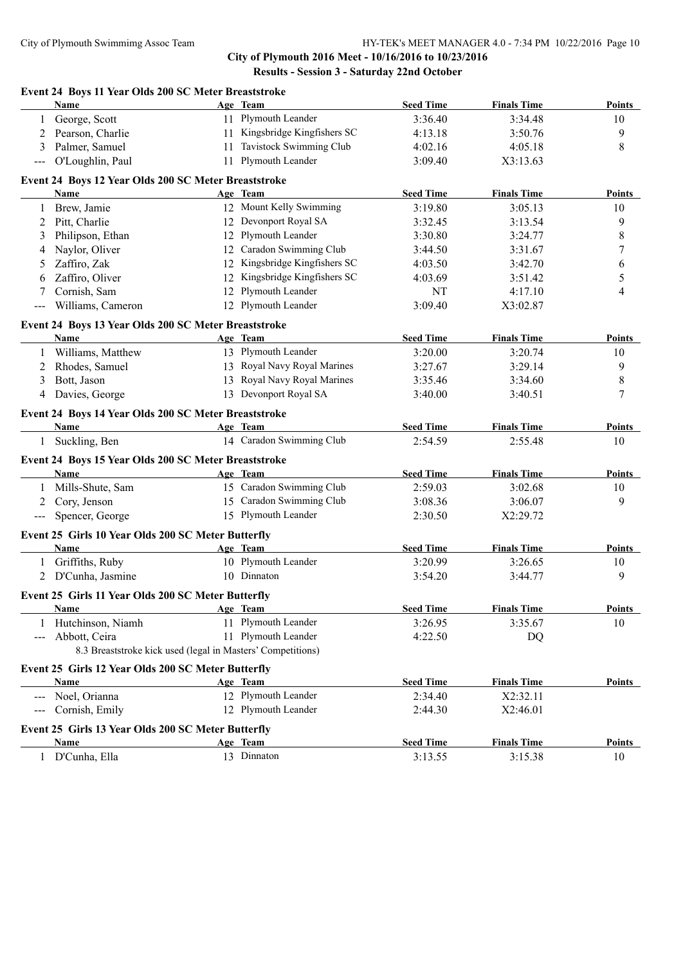## **City of Plymouth 2016 Meet - 10/16/2016 to 10/23/2016 Results - Session 3 - Saturday 22nd October**

### **Event 24 Boys 11 Year Olds 200 SC Meter Breaststroke**

| 11 Plymouth Leander<br>3:36.40<br>George, Scott<br>3:34.48<br>10<br>11 Kingsbridge Kingfishers SC<br>Pearson, Charlie<br>9<br>4:13.18<br>3:50.76<br>2<br>11 Tavistock Swimming Club<br>$\,$ 8 $\,$<br>Palmer, Samuel<br>3<br>4:02.16<br>4:05.18<br>11 Plymouth Leander<br>O'Loughlin, Paul<br>3:09.40<br>X3:13.63<br>$\qquad \qquad -$<br>Event 24 Boys 12 Year Olds 200 SC Meter Breaststroke<br><b>Seed Time</b><br><b>Finals Time</b><br>Name<br>Age Team<br>12 Mount Kelly Swimming<br>Brew, Jamie<br>3:19.80<br>3:05.13<br>10<br>1<br>12 Devonport Royal SA<br>9<br>Pitt, Charlie<br>2<br>3:32.45<br>3:13.54<br>12 Plymouth Leander<br>Philipson, Ethan<br>8<br>3<br>3:30.80<br>3:24.77<br>12 Caradon Swimming Club<br>Naylor, Oliver<br>7<br>3:44.50<br>3:31.67<br>4<br>12 Kingsbridge Kingfishers SC<br>Zaffiro, Zak<br>4:03.50<br>3:42.70<br>6<br>5<br>Zaffiro, Oliver<br>12 Kingsbridge Kingfishers SC<br>5<br>4:03.69<br>3:51.42<br>6<br>12 Plymouth Leander<br>Cornish, Sam<br>NT<br>4:17.10<br>4<br>7<br>12 Plymouth Leander<br>Williams, Cameron<br>3:09.40<br>X3:02.87<br>$\qquad \qquad - -$<br>Event 24 Boys 13 Year Olds 200 SC Meter Breaststroke<br><b>Seed Time</b><br><b>Finals Time</b><br>Name<br>Age Team<br>13 Plymouth Leander<br>Williams, Matthew<br>3:20.00<br>3:20.74<br>10<br>13 Royal Navy Royal Marines<br>9<br>Rhodes, Samuel<br>3:27.67<br>3:29.14<br>2<br>13 Royal Navy Royal Marines<br>Bott, Jason<br>3:34.60<br>8<br>3<br>3:35.46<br>13 Devonport Royal SA<br>7<br>Davies, George<br>3:40.00<br>3:40.51<br>4<br>Event 24 Boys 14 Year Olds 200 SC Meter Breaststroke<br><b>Seed Time</b><br><b>Finals Time</b><br>Name<br>Age Team<br>14 Caradon Swimming Club<br>Suckling, Ben<br>2:54.59<br>2:55.48<br>10<br>1<br>Event 24 Boys 15 Year Olds 200 SC Meter Breaststroke<br>Name<br>Age Team<br><b>Seed Time</b><br><b>Finals Time</b><br>15 Caradon Swimming Club<br>Mills-Shute, Sam<br>2:59.03<br>3:02.68<br>10<br>1<br>15 Caradon Swimming Club<br>Cory, Jenson<br>9<br>3:08.36<br>3:06.07<br>2<br>15 Plymouth Leander<br>Spencer, George<br>2:30.50<br>X2:29.72<br>$---$<br>Event 25 Girls 10 Year Olds 200 SC Meter Butterfly<br><b>Seed Time</b><br><b>Finals Time</b><br>Name<br>Age Team<br>10 Plymouth Leander<br>1 Griffiths, Ruby<br>3:20.99<br>3:26.65<br>10<br>10 Dinnaton<br>9<br>2 D'Cunha, Jasmine<br>3:54.20<br>3:44.77<br>Event 25 Girls 11 Year Olds 200 SC Meter Butterfly<br>Seed Time<br><b>Finals Time</b><br>Name.<br><u>Age Team Age Team</u><br>11 Plymouth Leander<br>Hutchinson, Niamh<br>3:26.95<br>3:35.67<br>10<br>1<br>11 Plymouth Leander<br>Abbott, Ceira<br>4:22.50<br>DQ<br>$---$<br>8.3 Breaststroke kick used (legal in Masters' Competitions)<br>Event 25 Girls 12 Year Olds 200 SC Meter Butterfly<br><b>Seed Time</b><br><b>Finals Time</b><br>Name<br>Age Team<br>12 Plymouth Leander<br>Noel, Orianna<br>2:34.40<br>X2:32.11<br>12 Plymouth Leander<br>Cornish, Emily<br>X2:46.01<br>2:44.30<br>Event 25 Girls 13 Year Olds 200 SC Meter Butterfly<br>Name<br>Age Team<br><b>Seed Time</b><br><b>Finals Time</b><br>13 Dinnaton<br>1 | Name          | Age Team | <b>Seed Time</b> | <b>Finals Time</b> | <b>Points</b> |
|-------------------------------------------------------------------------------------------------------------------------------------------------------------------------------------------------------------------------------------------------------------------------------------------------------------------------------------------------------------------------------------------------------------------------------------------------------------------------------------------------------------------------------------------------------------------------------------------------------------------------------------------------------------------------------------------------------------------------------------------------------------------------------------------------------------------------------------------------------------------------------------------------------------------------------------------------------------------------------------------------------------------------------------------------------------------------------------------------------------------------------------------------------------------------------------------------------------------------------------------------------------------------------------------------------------------------------------------------------------------------------------------------------------------------------------------------------------------------------------------------------------------------------------------------------------------------------------------------------------------------------------------------------------------------------------------------------------------------------------------------------------------------------------------------------------------------------------------------------------------------------------------------------------------------------------------------------------------------------------------------------------------------------------------------------------------------------------------------------------------------------------------------------------------------------------------------------------------------------------------------------------------------------------------------------------------------------------------------------------------------------------------------------------------------------------------------------------------------------------------------------------------------------------------------------------------------------------------------------------------------------------------------------------------------------------------------------------------------------------------------------------------------------------------------------------------------------------------------------------------------------------------------------------------------------------------------------------------------------------------------------------------------------------------------------------------------------------------------------------------------|---------------|----------|------------------|--------------------|---------------|
|                                                                                                                                                                                                                                                                                                                                                                                                                                                                                                                                                                                                                                                                                                                                                                                                                                                                                                                                                                                                                                                                                                                                                                                                                                                                                                                                                                                                                                                                                                                                                                                                                                                                                                                                                                                                                                                                                                                                                                                                                                                                                                                                                                                                                                                                                                                                                                                                                                                                                                                                                                                                                                                                                                                                                                                                                                                                                                                                                                                                                                                                                                                         |               |          |                  |                    |               |
|                                                                                                                                                                                                                                                                                                                                                                                                                                                                                                                                                                                                                                                                                                                                                                                                                                                                                                                                                                                                                                                                                                                                                                                                                                                                                                                                                                                                                                                                                                                                                                                                                                                                                                                                                                                                                                                                                                                                                                                                                                                                                                                                                                                                                                                                                                                                                                                                                                                                                                                                                                                                                                                                                                                                                                                                                                                                                                                                                                                                                                                                                                                         |               |          |                  |                    |               |
|                                                                                                                                                                                                                                                                                                                                                                                                                                                                                                                                                                                                                                                                                                                                                                                                                                                                                                                                                                                                                                                                                                                                                                                                                                                                                                                                                                                                                                                                                                                                                                                                                                                                                                                                                                                                                                                                                                                                                                                                                                                                                                                                                                                                                                                                                                                                                                                                                                                                                                                                                                                                                                                                                                                                                                                                                                                                                                                                                                                                                                                                                                                         |               |          |                  |                    |               |
|                                                                                                                                                                                                                                                                                                                                                                                                                                                                                                                                                                                                                                                                                                                                                                                                                                                                                                                                                                                                                                                                                                                                                                                                                                                                                                                                                                                                                                                                                                                                                                                                                                                                                                                                                                                                                                                                                                                                                                                                                                                                                                                                                                                                                                                                                                                                                                                                                                                                                                                                                                                                                                                                                                                                                                                                                                                                                                                                                                                                                                                                                                                         |               |          |                  |                    |               |
|                                                                                                                                                                                                                                                                                                                                                                                                                                                                                                                                                                                                                                                                                                                                                                                                                                                                                                                                                                                                                                                                                                                                                                                                                                                                                                                                                                                                                                                                                                                                                                                                                                                                                                                                                                                                                                                                                                                                                                                                                                                                                                                                                                                                                                                                                                                                                                                                                                                                                                                                                                                                                                                                                                                                                                                                                                                                                                                                                                                                                                                                                                                         |               |          |                  |                    |               |
|                                                                                                                                                                                                                                                                                                                                                                                                                                                                                                                                                                                                                                                                                                                                                                                                                                                                                                                                                                                                                                                                                                                                                                                                                                                                                                                                                                                                                                                                                                                                                                                                                                                                                                                                                                                                                                                                                                                                                                                                                                                                                                                                                                                                                                                                                                                                                                                                                                                                                                                                                                                                                                                                                                                                                                                                                                                                                                                                                                                                                                                                                                                         |               |          |                  |                    | <b>Points</b> |
|                                                                                                                                                                                                                                                                                                                                                                                                                                                                                                                                                                                                                                                                                                                                                                                                                                                                                                                                                                                                                                                                                                                                                                                                                                                                                                                                                                                                                                                                                                                                                                                                                                                                                                                                                                                                                                                                                                                                                                                                                                                                                                                                                                                                                                                                                                                                                                                                                                                                                                                                                                                                                                                                                                                                                                                                                                                                                                                                                                                                                                                                                                                         |               |          |                  |                    |               |
|                                                                                                                                                                                                                                                                                                                                                                                                                                                                                                                                                                                                                                                                                                                                                                                                                                                                                                                                                                                                                                                                                                                                                                                                                                                                                                                                                                                                                                                                                                                                                                                                                                                                                                                                                                                                                                                                                                                                                                                                                                                                                                                                                                                                                                                                                                                                                                                                                                                                                                                                                                                                                                                                                                                                                                                                                                                                                                                                                                                                                                                                                                                         |               |          |                  |                    |               |
|                                                                                                                                                                                                                                                                                                                                                                                                                                                                                                                                                                                                                                                                                                                                                                                                                                                                                                                                                                                                                                                                                                                                                                                                                                                                                                                                                                                                                                                                                                                                                                                                                                                                                                                                                                                                                                                                                                                                                                                                                                                                                                                                                                                                                                                                                                                                                                                                                                                                                                                                                                                                                                                                                                                                                                                                                                                                                                                                                                                                                                                                                                                         |               |          |                  |                    |               |
|                                                                                                                                                                                                                                                                                                                                                                                                                                                                                                                                                                                                                                                                                                                                                                                                                                                                                                                                                                                                                                                                                                                                                                                                                                                                                                                                                                                                                                                                                                                                                                                                                                                                                                                                                                                                                                                                                                                                                                                                                                                                                                                                                                                                                                                                                                                                                                                                                                                                                                                                                                                                                                                                                                                                                                                                                                                                                                                                                                                                                                                                                                                         |               |          |                  |                    |               |
|                                                                                                                                                                                                                                                                                                                                                                                                                                                                                                                                                                                                                                                                                                                                                                                                                                                                                                                                                                                                                                                                                                                                                                                                                                                                                                                                                                                                                                                                                                                                                                                                                                                                                                                                                                                                                                                                                                                                                                                                                                                                                                                                                                                                                                                                                                                                                                                                                                                                                                                                                                                                                                                                                                                                                                                                                                                                                                                                                                                                                                                                                                                         |               |          |                  |                    |               |
|                                                                                                                                                                                                                                                                                                                                                                                                                                                                                                                                                                                                                                                                                                                                                                                                                                                                                                                                                                                                                                                                                                                                                                                                                                                                                                                                                                                                                                                                                                                                                                                                                                                                                                                                                                                                                                                                                                                                                                                                                                                                                                                                                                                                                                                                                                                                                                                                                                                                                                                                                                                                                                                                                                                                                                                                                                                                                                                                                                                                                                                                                                                         |               |          |                  |                    |               |
|                                                                                                                                                                                                                                                                                                                                                                                                                                                                                                                                                                                                                                                                                                                                                                                                                                                                                                                                                                                                                                                                                                                                                                                                                                                                                                                                                                                                                                                                                                                                                                                                                                                                                                                                                                                                                                                                                                                                                                                                                                                                                                                                                                                                                                                                                                                                                                                                                                                                                                                                                                                                                                                                                                                                                                                                                                                                                                                                                                                                                                                                                                                         |               |          |                  |                    |               |
|                                                                                                                                                                                                                                                                                                                                                                                                                                                                                                                                                                                                                                                                                                                                                                                                                                                                                                                                                                                                                                                                                                                                                                                                                                                                                                                                                                                                                                                                                                                                                                                                                                                                                                                                                                                                                                                                                                                                                                                                                                                                                                                                                                                                                                                                                                                                                                                                                                                                                                                                                                                                                                                                                                                                                                                                                                                                                                                                                                                                                                                                                                                         |               |          |                  |                    |               |
|                                                                                                                                                                                                                                                                                                                                                                                                                                                                                                                                                                                                                                                                                                                                                                                                                                                                                                                                                                                                                                                                                                                                                                                                                                                                                                                                                                                                                                                                                                                                                                                                                                                                                                                                                                                                                                                                                                                                                                                                                                                                                                                                                                                                                                                                                                                                                                                                                                                                                                                                                                                                                                                                                                                                                                                                                                                                                                                                                                                                                                                                                                                         |               |          |                  |                    |               |
|                                                                                                                                                                                                                                                                                                                                                                                                                                                                                                                                                                                                                                                                                                                                                                                                                                                                                                                                                                                                                                                                                                                                                                                                                                                                                                                                                                                                                                                                                                                                                                                                                                                                                                                                                                                                                                                                                                                                                                                                                                                                                                                                                                                                                                                                                                                                                                                                                                                                                                                                                                                                                                                                                                                                                                                                                                                                                                                                                                                                                                                                                                                         |               |          |                  |                    | <b>Points</b> |
|                                                                                                                                                                                                                                                                                                                                                                                                                                                                                                                                                                                                                                                                                                                                                                                                                                                                                                                                                                                                                                                                                                                                                                                                                                                                                                                                                                                                                                                                                                                                                                                                                                                                                                                                                                                                                                                                                                                                                                                                                                                                                                                                                                                                                                                                                                                                                                                                                                                                                                                                                                                                                                                                                                                                                                                                                                                                                                                                                                                                                                                                                                                         |               |          |                  |                    |               |
|                                                                                                                                                                                                                                                                                                                                                                                                                                                                                                                                                                                                                                                                                                                                                                                                                                                                                                                                                                                                                                                                                                                                                                                                                                                                                                                                                                                                                                                                                                                                                                                                                                                                                                                                                                                                                                                                                                                                                                                                                                                                                                                                                                                                                                                                                                                                                                                                                                                                                                                                                                                                                                                                                                                                                                                                                                                                                                                                                                                                                                                                                                                         |               |          |                  |                    |               |
|                                                                                                                                                                                                                                                                                                                                                                                                                                                                                                                                                                                                                                                                                                                                                                                                                                                                                                                                                                                                                                                                                                                                                                                                                                                                                                                                                                                                                                                                                                                                                                                                                                                                                                                                                                                                                                                                                                                                                                                                                                                                                                                                                                                                                                                                                                                                                                                                                                                                                                                                                                                                                                                                                                                                                                                                                                                                                                                                                                                                                                                                                                                         |               |          |                  |                    |               |
|                                                                                                                                                                                                                                                                                                                                                                                                                                                                                                                                                                                                                                                                                                                                                                                                                                                                                                                                                                                                                                                                                                                                                                                                                                                                                                                                                                                                                                                                                                                                                                                                                                                                                                                                                                                                                                                                                                                                                                                                                                                                                                                                                                                                                                                                                                                                                                                                                                                                                                                                                                                                                                                                                                                                                                                                                                                                                                                                                                                                                                                                                                                         |               |          |                  |                    |               |
|                                                                                                                                                                                                                                                                                                                                                                                                                                                                                                                                                                                                                                                                                                                                                                                                                                                                                                                                                                                                                                                                                                                                                                                                                                                                                                                                                                                                                                                                                                                                                                                                                                                                                                                                                                                                                                                                                                                                                                                                                                                                                                                                                                                                                                                                                                                                                                                                                                                                                                                                                                                                                                                                                                                                                                                                                                                                                                                                                                                                                                                                                                                         |               |          |                  |                    |               |
|                                                                                                                                                                                                                                                                                                                                                                                                                                                                                                                                                                                                                                                                                                                                                                                                                                                                                                                                                                                                                                                                                                                                                                                                                                                                                                                                                                                                                                                                                                                                                                                                                                                                                                                                                                                                                                                                                                                                                                                                                                                                                                                                                                                                                                                                                                                                                                                                                                                                                                                                                                                                                                                                                                                                                                                                                                                                                                                                                                                                                                                                                                                         |               |          |                  |                    | <b>Points</b> |
|                                                                                                                                                                                                                                                                                                                                                                                                                                                                                                                                                                                                                                                                                                                                                                                                                                                                                                                                                                                                                                                                                                                                                                                                                                                                                                                                                                                                                                                                                                                                                                                                                                                                                                                                                                                                                                                                                                                                                                                                                                                                                                                                                                                                                                                                                                                                                                                                                                                                                                                                                                                                                                                                                                                                                                                                                                                                                                                                                                                                                                                                                                                         |               |          |                  |                    |               |
|                                                                                                                                                                                                                                                                                                                                                                                                                                                                                                                                                                                                                                                                                                                                                                                                                                                                                                                                                                                                                                                                                                                                                                                                                                                                                                                                                                                                                                                                                                                                                                                                                                                                                                                                                                                                                                                                                                                                                                                                                                                                                                                                                                                                                                                                                                                                                                                                                                                                                                                                                                                                                                                                                                                                                                                                                                                                                                                                                                                                                                                                                                                         |               |          |                  |                    |               |
|                                                                                                                                                                                                                                                                                                                                                                                                                                                                                                                                                                                                                                                                                                                                                                                                                                                                                                                                                                                                                                                                                                                                                                                                                                                                                                                                                                                                                                                                                                                                                                                                                                                                                                                                                                                                                                                                                                                                                                                                                                                                                                                                                                                                                                                                                                                                                                                                                                                                                                                                                                                                                                                                                                                                                                                                                                                                                                                                                                                                                                                                                                                         |               |          |                  |                    | <b>Points</b> |
|                                                                                                                                                                                                                                                                                                                                                                                                                                                                                                                                                                                                                                                                                                                                                                                                                                                                                                                                                                                                                                                                                                                                                                                                                                                                                                                                                                                                                                                                                                                                                                                                                                                                                                                                                                                                                                                                                                                                                                                                                                                                                                                                                                                                                                                                                                                                                                                                                                                                                                                                                                                                                                                                                                                                                                                                                                                                                                                                                                                                                                                                                                                         |               |          |                  |                    |               |
|                                                                                                                                                                                                                                                                                                                                                                                                                                                                                                                                                                                                                                                                                                                                                                                                                                                                                                                                                                                                                                                                                                                                                                                                                                                                                                                                                                                                                                                                                                                                                                                                                                                                                                                                                                                                                                                                                                                                                                                                                                                                                                                                                                                                                                                                                                                                                                                                                                                                                                                                                                                                                                                                                                                                                                                                                                                                                                                                                                                                                                                                                                                         |               |          |                  |                    |               |
|                                                                                                                                                                                                                                                                                                                                                                                                                                                                                                                                                                                                                                                                                                                                                                                                                                                                                                                                                                                                                                                                                                                                                                                                                                                                                                                                                                                                                                                                                                                                                                                                                                                                                                                                                                                                                                                                                                                                                                                                                                                                                                                                                                                                                                                                                                                                                                                                                                                                                                                                                                                                                                                                                                                                                                                                                                                                                                                                                                                                                                                                                                                         |               |          |                  |                    |               |
|                                                                                                                                                                                                                                                                                                                                                                                                                                                                                                                                                                                                                                                                                                                                                                                                                                                                                                                                                                                                                                                                                                                                                                                                                                                                                                                                                                                                                                                                                                                                                                                                                                                                                                                                                                                                                                                                                                                                                                                                                                                                                                                                                                                                                                                                                                                                                                                                                                                                                                                                                                                                                                                                                                                                                                                                                                                                                                                                                                                                                                                                                                                         |               |          |                  |                    |               |
|                                                                                                                                                                                                                                                                                                                                                                                                                                                                                                                                                                                                                                                                                                                                                                                                                                                                                                                                                                                                                                                                                                                                                                                                                                                                                                                                                                                                                                                                                                                                                                                                                                                                                                                                                                                                                                                                                                                                                                                                                                                                                                                                                                                                                                                                                                                                                                                                                                                                                                                                                                                                                                                                                                                                                                                                                                                                                                                                                                                                                                                                                                                         |               |          |                  |                    | <b>Points</b> |
|                                                                                                                                                                                                                                                                                                                                                                                                                                                                                                                                                                                                                                                                                                                                                                                                                                                                                                                                                                                                                                                                                                                                                                                                                                                                                                                                                                                                                                                                                                                                                                                                                                                                                                                                                                                                                                                                                                                                                                                                                                                                                                                                                                                                                                                                                                                                                                                                                                                                                                                                                                                                                                                                                                                                                                                                                                                                                                                                                                                                                                                                                                                         |               |          |                  |                    |               |
|                                                                                                                                                                                                                                                                                                                                                                                                                                                                                                                                                                                                                                                                                                                                                                                                                                                                                                                                                                                                                                                                                                                                                                                                                                                                                                                                                                                                                                                                                                                                                                                                                                                                                                                                                                                                                                                                                                                                                                                                                                                                                                                                                                                                                                                                                                                                                                                                                                                                                                                                                                                                                                                                                                                                                                                                                                                                                                                                                                                                                                                                                                                         |               |          |                  |                    |               |
|                                                                                                                                                                                                                                                                                                                                                                                                                                                                                                                                                                                                                                                                                                                                                                                                                                                                                                                                                                                                                                                                                                                                                                                                                                                                                                                                                                                                                                                                                                                                                                                                                                                                                                                                                                                                                                                                                                                                                                                                                                                                                                                                                                                                                                                                                                                                                                                                                                                                                                                                                                                                                                                                                                                                                                                                                                                                                                                                                                                                                                                                                                                         |               |          |                  |                    |               |
|                                                                                                                                                                                                                                                                                                                                                                                                                                                                                                                                                                                                                                                                                                                                                                                                                                                                                                                                                                                                                                                                                                                                                                                                                                                                                                                                                                                                                                                                                                                                                                                                                                                                                                                                                                                                                                                                                                                                                                                                                                                                                                                                                                                                                                                                                                                                                                                                                                                                                                                                                                                                                                                                                                                                                                                                                                                                                                                                                                                                                                                                                                                         |               |          |                  |                    | <b>Points</b> |
|                                                                                                                                                                                                                                                                                                                                                                                                                                                                                                                                                                                                                                                                                                                                                                                                                                                                                                                                                                                                                                                                                                                                                                                                                                                                                                                                                                                                                                                                                                                                                                                                                                                                                                                                                                                                                                                                                                                                                                                                                                                                                                                                                                                                                                                                                                                                                                                                                                                                                                                                                                                                                                                                                                                                                                                                                                                                                                                                                                                                                                                                                                                         |               |          |                  |                    |               |
|                                                                                                                                                                                                                                                                                                                                                                                                                                                                                                                                                                                                                                                                                                                                                                                                                                                                                                                                                                                                                                                                                                                                                                                                                                                                                                                                                                                                                                                                                                                                                                                                                                                                                                                                                                                                                                                                                                                                                                                                                                                                                                                                                                                                                                                                                                                                                                                                                                                                                                                                                                                                                                                                                                                                                                                                                                                                                                                                                                                                                                                                                                                         |               |          |                  |                    |               |
|                                                                                                                                                                                                                                                                                                                                                                                                                                                                                                                                                                                                                                                                                                                                                                                                                                                                                                                                                                                                                                                                                                                                                                                                                                                                                                                                                                                                                                                                                                                                                                                                                                                                                                                                                                                                                                                                                                                                                                                                                                                                                                                                                                                                                                                                                                                                                                                                                                                                                                                                                                                                                                                                                                                                                                                                                                                                                                                                                                                                                                                                                                                         |               |          |                  |                    |               |
|                                                                                                                                                                                                                                                                                                                                                                                                                                                                                                                                                                                                                                                                                                                                                                                                                                                                                                                                                                                                                                                                                                                                                                                                                                                                                                                                                                                                                                                                                                                                                                                                                                                                                                                                                                                                                                                                                                                                                                                                                                                                                                                                                                                                                                                                                                                                                                                                                                                                                                                                                                                                                                                                                                                                                                                                                                                                                                                                                                                                                                                                                                                         |               |          |                  |                    |               |
|                                                                                                                                                                                                                                                                                                                                                                                                                                                                                                                                                                                                                                                                                                                                                                                                                                                                                                                                                                                                                                                                                                                                                                                                                                                                                                                                                                                                                                                                                                                                                                                                                                                                                                                                                                                                                                                                                                                                                                                                                                                                                                                                                                                                                                                                                                                                                                                                                                                                                                                                                                                                                                                                                                                                                                                                                                                                                                                                                                                                                                                                                                                         |               |          |                  |                    | Points        |
|                                                                                                                                                                                                                                                                                                                                                                                                                                                                                                                                                                                                                                                                                                                                                                                                                                                                                                                                                                                                                                                                                                                                                                                                                                                                                                                                                                                                                                                                                                                                                                                                                                                                                                                                                                                                                                                                                                                                                                                                                                                                                                                                                                                                                                                                                                                                                                                                                                                                                                                                                                                                                                                                                                                                                                                                                                                                                                                                                                                                                                                                                                                         |               |          |                  |                    |               |
|                                                                                                                                                                                                                                                                                                                                                                                                                                                                                                                                                                                                                                                                                                                                                                                                                                                                                                                                                                                                                                                                                                                                                                                                                                                                                                                                                                                                                                                                                                                                                                                                                                                                                                                                                                                                                                                                                                                                                                                                                                                                                                                                                                                                                                                                                                                                                                                                                                                                                                                                                                                                                                                                                                                                                                                                                                                                                                                                                                                                                                                                                                                         |               |          |                  |                    |               |
|                                                                                                                                                                                                                                                                                                                                                                                                                                                                                                                                                                                                                                                                                                                                                                                                                                                                                                                                                                                                                                                                                                                                                                                                                                                                                                                                                                                                                                                                                                                                                                                                                                                                                                                                                                                                                                                                                                                                                                                                                                                                                                                                                                                                                                                                                                                                                                                                                                                                                                                                                                                                                                                                                                                                                                                                                                                                                                                                                                                                                                                                                                                         |               |          |                  |                    |               |
|                                                                                                                                                                                                                                                                                                                                                                                                                                                                                                                                                                                                                                                                                                                                                                                                                                                                                                                                                                                                                                                                                                                                                                                                                                                                                                                                                                                                                                                                                                                                                                                                                                                                                                                                                                                                                                                                                                                                                                                                                                                                                                                                                                                                                                                                                                                                                                                                                                                                                                                                                                                                                                                                                                                                                                                                                                                                                                                                                                                                                                                                                                                         |               |          |                  |                    | <b>Points</b> |
|                                                                                                                                                                                                                                                                                                                                                                                                                                                                                                                                                                                                                                                                                                                                                                                                                                                                                                                                                                                                                                                                                                                                                                                                                                                                                                                                                                                                                                                                                                                                                                                                                                                                                                                                                                                                                                                                                                                                                                                                                                                                                                                                                                                                                                                                                                                                                                                                                                                                                                                                                                                                                                                                                                                                                                                                                                                                                                                                                                                                                                                                                                                         | D'Cunha, Ella |          | 3:13.55          | 3:15.38            | 10            |